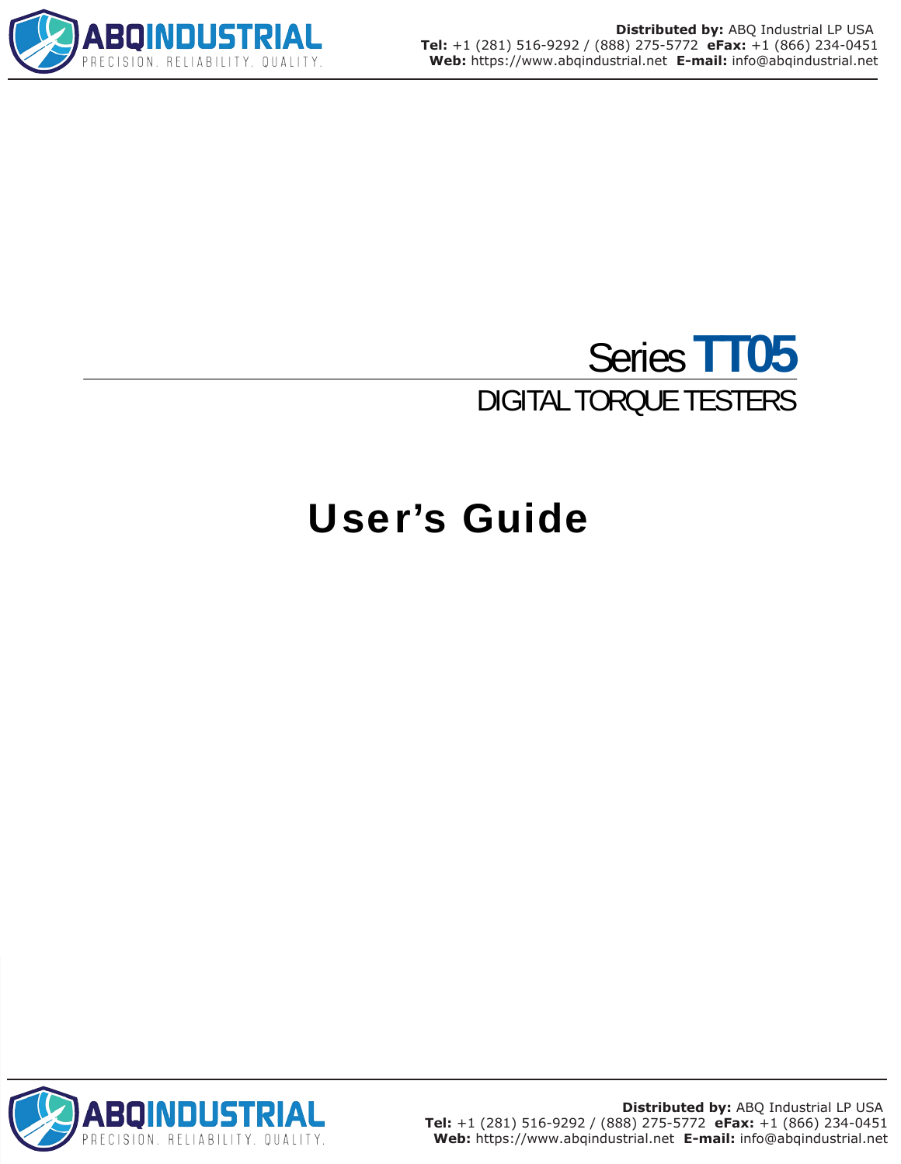

# Series **TT05** DIGITAL TORQUE TESTERS

# User's Guide

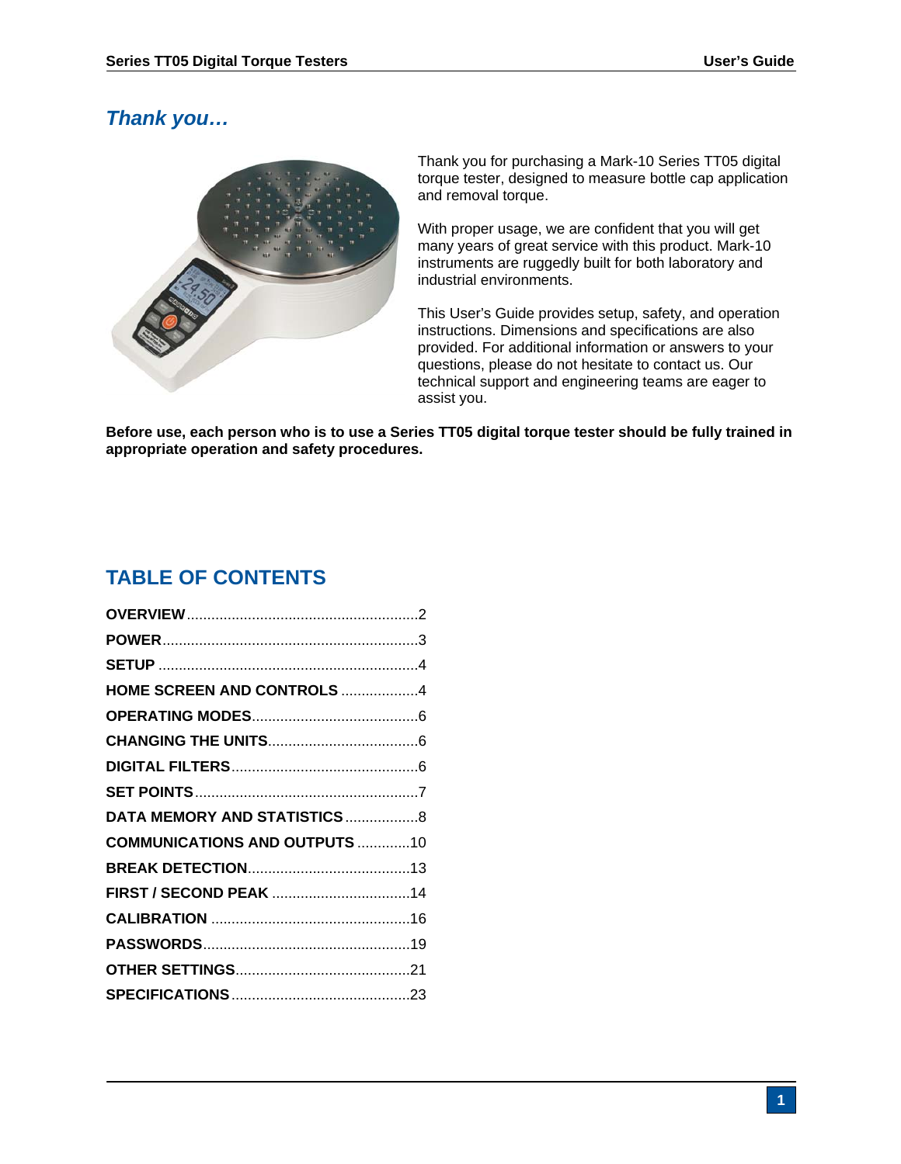# *Thank you…*



 Thank you for purchasing a Mark-10 Series TT05 digital torque tester, designed to measure bottle cap application and removal torque.

With proper usage, we are confident that you will get many years of great service with this product. Mark-10 instruments are ruggedly built for both laboratory and industrial environments.

This User's Guide provides setup, safety, and operation instructions. Dimensions and specifications are also provided. For additional information or answers to your questions, please do not hesitate to contact us. Our technical support and engineering teams are eager to assist you.

**Before use, each person who is to use a Series TT05 digital torque tester should be fully trained in appropriate operation and safety procedures.** 

# **TABLE OF CONTENTS**

| HOME SCREEN AND CONTROLS 4           |  |
|--------------------------------------|--|
|                                      |  |
|                                      |  |
|                                      |  |
|                                      |  |
|                                      |  |
| <b>COMMUNICATIONS AND OUTPUTS 10</b> |  |
|                                      |  |
|                                      |  |
|                                      |  |
|                                      |  |
|                                      |  |
|                                      |  |
|                                      |  |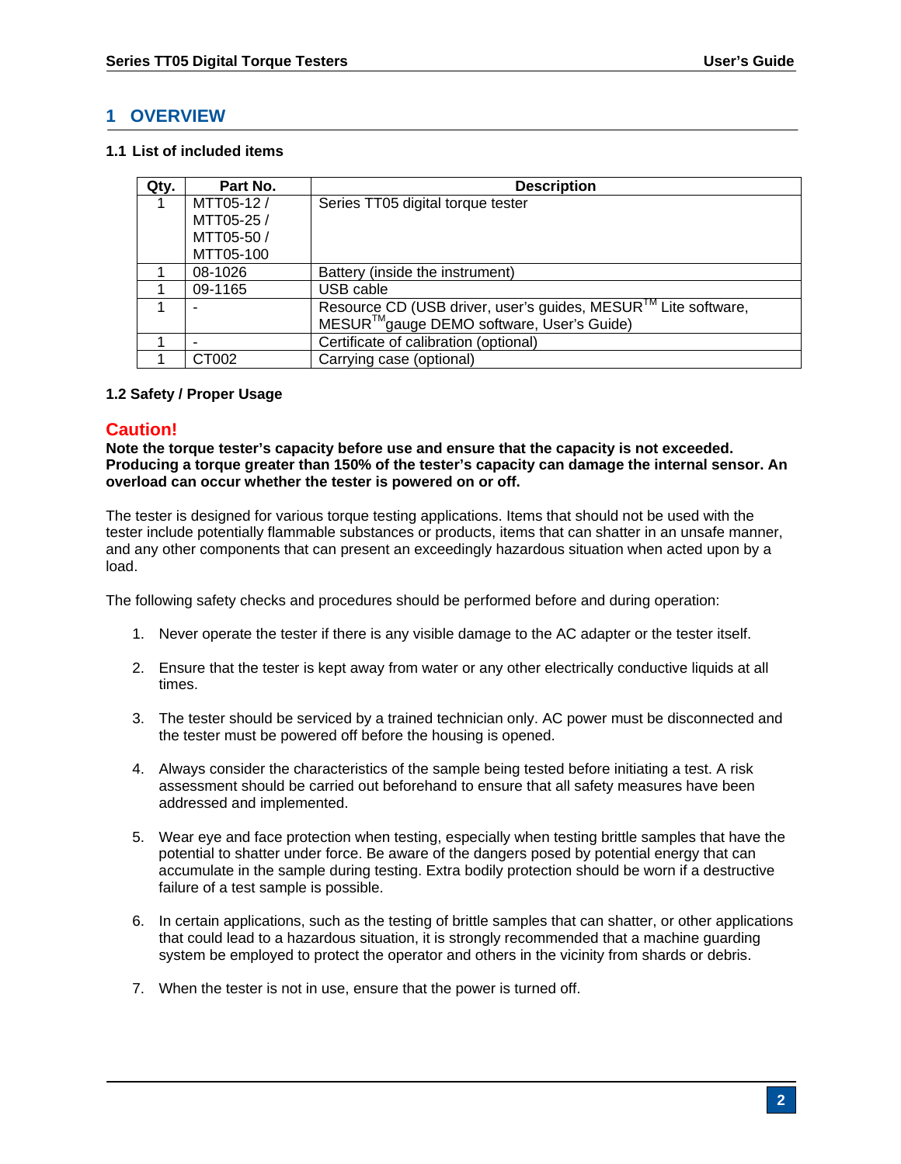# **1 OVERVIEW**

#### **1.1 List of included items**

| Qty. | Part No.   | <b>Description</b>                                                                                                                 |
|------|------------|------------------------------------------------------------------------------------------------------------------------------------|
|      | MTT05-12/  | Series TT05 digital torque tester                                                                                                  |
|      | MTT05-25 / |                                                                                                                                    |
|      | MTT05-50/  |                                                                                                                                    |
|      | MTT05-100  |                                                                                                                                    |
|      | 08-1026    | Battery (inside the instrument)                                                                                                    |
|      | 09-1165    | USB cable                                                                                                                          |
|      |            | Resource CD (USB driver, user's guides, MESUR <sup>™</sup> Lite software,<br>MESUR <sup>™</sup> gauge DEMO software, User's Guide) |
|      |            | Certificate of calibration (optional)                                                                                              |
|      | CT002      | Carrying case (optional)                                                                                                           |

## **1.2 Safety / Proper Usage**

# **Caution!**

**Note the torque tester's capacity before use and ensure that the capacity is not exceeded. Producing a torque greater than 150% of the tester's capacity can damage the internal sensor. An overload can occur whether the tester is powered on or off.** 

The tester is designed for various torque testing applications. Items that should not be used with the tester include potentially flammable substances or products, items that can shatter in an unsafe manner, and any other components that can present an exceedingly hazardous situation when acted upon by a load.

The following safety checks and procedures should be performed before and during operation:

- 1. Never operate the tester if there is any visible damage to the AC adapter or the tester itself.
- 2. Ensure that the tester is kept away from water or any other electrically conductive liquids at all times.
- 3. The tester should be serviced by a trained technician only. AC power must be disconnected and the tester must be powered off before the housing is opened.
- 4. Always consider the characteristics of the sample being tested before initiating a test. A risk assessment should be carried out beforehand to ensure that all safety measures have been addressed and implemented.
- 5. Wear eye and face protection when testing, especially when testing brittle samples that have the potential to shatter under force. Be aware of the dangers posed by potential energy that can accumulate in the sample during testing. Extra bodily protection should be worn if a destructive failure of a test sample is possible.
- 6. In certain applications, such as the testing of brittle samples that can shatter, or other applications that could lead to a hazardous situation, it is strongly recommended that a machine guarding system be employed to protect the operator and others in the vicinity from shards or debris.
- 7. When the tester is not in use, ensure that the power is turned off.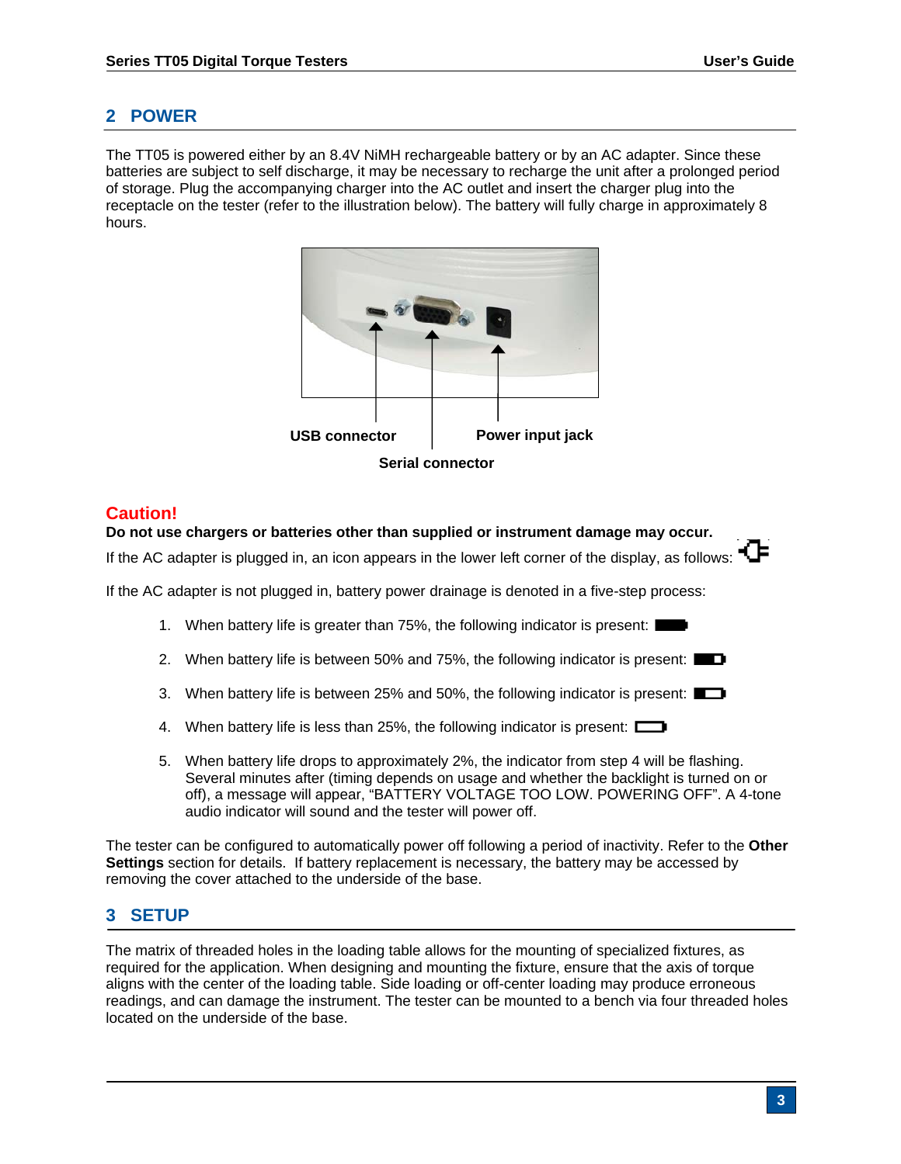# **2 POWER**

The TT05 is powered either by an 8.4V NiMH rechargeable battery or by an AC adapter. Since these batteries are subject to self discharge, it may be necessary to recharge the unit after a prolonged period of storage. Plug the accompanying charger into the AC outlet and insert the charger plug into the receptacle on the tester (refer to the illustration below). The battery will fully charge in approximately 8 hours.



# **Caution!**

#### **Do not use chargers or batteries other than supplied or instrument damage may occur.**

If the AC adapter is plugged in, an icon appears in the lower left corner of the display, as follows:  $\sqrt{ }$ 

If the AC adapter is not plugged in, battery power drainage is denoted in a five-step process:

- 1. When battery life is greater than 75%, the following indicator is present: I
- 2. When battery life is between 50% and 75%, the following indicator is present:  $\Box$
- 3. When battery life is between 25% and 50%, the following indicator is present:
- 4. When battery life is less than 25%, the following indicator is present:
- 5. When battery life drops to approximately 2%, the indicator from step 4 will be flashing. Several minutes after (timing depends on usage and whether the backlight is turned on or off), a message will appear, "BATTERY VOLTAGE TOO LOW. POWERING OFF". A 4-tone audio indicator will sound and the tester will power off.

The tester can be configured to automatically power off following a period of inactivity. Refer to the **Other Settings** section for details. If battery replacement is necessary, the battery may be accessed by removing the cover attached to the underside of the base.

## **3 SETUP**

The matrix of threaded holes in the loading table allows for the mounting of specialized fixtures, as required for the application. When designing and mounting the fixture, ensure that the axis of torque aligns with the center of the loading table. Side loading or off-center loading may produce erroneous readings, and can damage the instrument. The tester can be mounted to a bench via four threaded holes located on the underside of the base.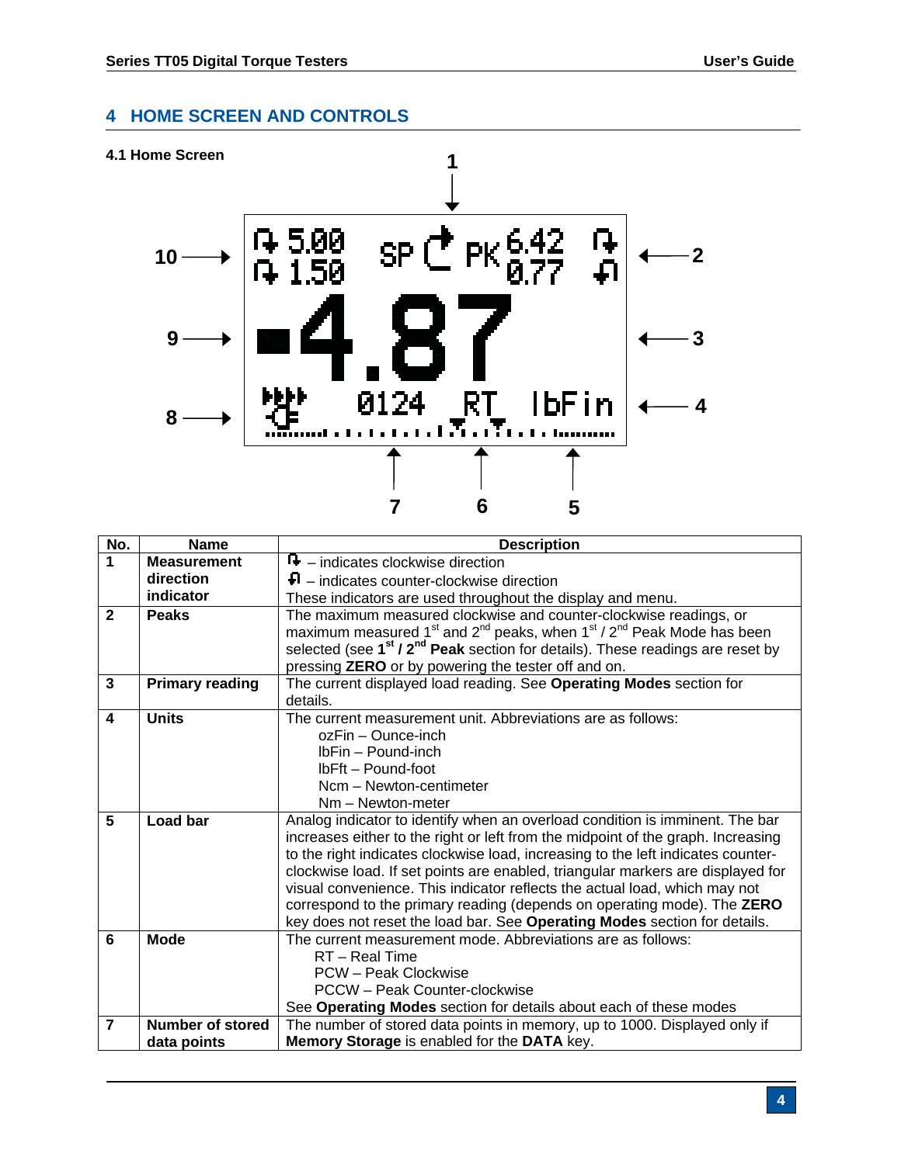# **4 HOME SCREEN AND CONTROLS**





| No.                     | <b>Name</b>             | <b>Description</b>                                                                                                                             |  |
|-------------------------|-------------------------|------------------------------------------------------------------------------------------------------------------------------------------------|--|
| 1                       | <b>Measurement</b>      | $\mathbf{F}$ – indicates clockwise direction                                                                                                   |  |
|                         | direction               | $\Box$ – indicates counter-clockwise direction                                                                                                 |  |
|                         | indicator               | These indicators are used throughout the display and menu.                                                                                     |  |
| $\mathbf{2}$            | <b>Peaks</b>            | The maximum measured clockwise and counter-clockwise readings, or                                                                              |  |
|                         |                         | maximum measured 1 <sup>st</sup> and 2 <sup>nd</sup> peaks, when $1st / 2nd$ Peak Mode has been                                                |  |
|                         |                         | selected (see 1 <sup>st</sup> / 2 <sup>nd</sup> Peak section for details). These readings are reset by                                         |  |
|                         |                         | pressing ZERO or by powering the tester off and on.                                                                                            |  |
| $\mathbf{3}$            | <b>Primary reading</b>  | The current displayed load reading. See Operating Modes section for                                                                            |  |
|                         |                         | details.                                                                                                                                       |  |
| 4                       | <b>Units</b>            | The current measurement unit. Abbreviations are as follows:                                                                                    |  |
|                         |                         | ozFin - Ounce-inch                                                                                                                             |  |
|                         |                         | IbFin - Pound-inch                                                                                                                             |  |
|                         |                         | IbFft - Pound-foot                                                                                                                             |  |
|                         |                         | Ncm - Newton-centimeter                                                                                                                        |  |
|                         |                         | Nm - Newton-meter                                                                                                                              |  |
| $\overline{\mathbf{5}}$ | <b>Load bar</b>         | Analog indicator to identify when an overload condition is imminent. The bar                                                                   |  |
|                         |                         | increases either to the right or left from the midpoint of the graph. Increasing                                                               |  |
|                         |                         | to the right indicates clockwise load, increasing to the left indicates counter-                                                               |  |
|                         |                         | clockwise load. If set points are enabled, triangular markers are displayed for                                                                |  |
|                         |                         | visual convenience. This indicator reflects the actual load, which may not                                                                     |  |
|                         |                         | correspond to the primary reading (depends on operating mode). The ZERO                                                                        |  |
| $6\phantom{1}$          | <b>Mode</b>             | key does not reset the load bar. See Operating Modes section for details.<br>The current measurement mode. Abbreviations are as follows:       |  |
|                         |                         | RT - Real Time                                                                                                                                 |  |
|                         |                         | PCW - Peak Clockwise                                                                                                                           |  |
|                         |                         | PCCW - Peak Counter-clockwise                                                                                                                  |  |
|                         |                         |                                                                                                                                                |  |
| $\overline{7}$          | <b>Number of stored</b> | See Operating Modes section for details about each of these modes<br>The number of stored data points in memory, up to 1000. Displayed only if |  |
|                         | data points             | Memory Storage is enabled for the DATA key.                                                                                                    |  |
|                         |                         |                                                                                                                                                |  |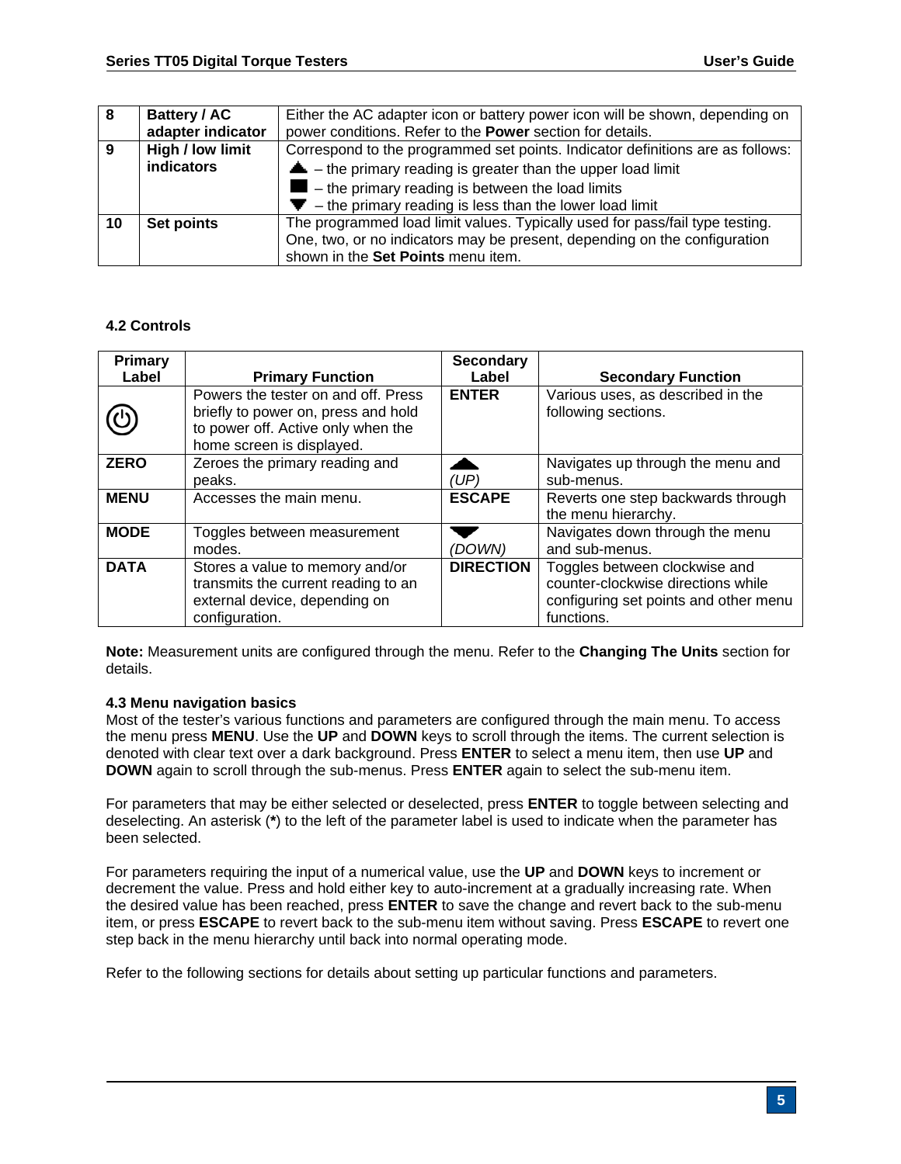| -8 | <b>Battery / AC</b> | Either the AC adapter icon or battery power icon will be shown, depending on   |
|----|---------------------|--------------------------------------------------------------------------------|
|    | adapter indicator   | power conditions. Refer to the Power section for details.                      |
| 9  | High / low limit    | Correspond to the programmed set points. Indicator definitions are as follows: |
|    | <b>indicators</b>   | $\triangle$ – the primary reading is greater than the upper load limit         |
|    |                     | $\blacksquare$ – the primary reading is between the load limits                |
|    |                     | $\blacktriangleright$ - the primary reading is less than the lower load limit  |
| 10 | Set points          | The programmed load limit values. Typically used for pass/fail type testing.   |
|    |                     | One, two, or no indicators may be present, depending on the configuration      |
|    |                     | shown in the Set Points menu item.                                             |

## **4.2 Controls**

| Primary     |                                                                                                                                               | <b>Secondary</b> |                                                                                                                            |
|-------------|-----------------------------------------------------------------------------------------------------------------------------------------------|------------------|----------------------------------------------------------------------------------------------------------------------------|
| Label       | <b>Primary Function</b>                                                                                                                       | Label            | <b>Secondary Function</b>                                                                                                  |
| ပ           | Powers the tester on and off. Press<br>briefly to power on, press and hold<br>to power off. Active only when the<br>home screen is displayed. | <b>ENTER</b>     | Various uses, as described in the<br>following sections.                                                                   |
| <b>ZERO</b> | Zeroes the primary reading and<br>peaks.                                                                                                      | (UP)             | Navigates up through the menu and<br>sub-menus.                                                                            |
| <b>MENU</b> | Accesses the main menu.                                                                                                                       | <b>ESCAPE</b>    | Reverts one step backwards through<br>the menu hierarchy.                                                                  |
| <b>MODE</b> | Toggles between measurement<br>modes.                                                                                                         | (DOWN)           | Navigates down through the menu<br>and sub-menus.                                                                          |
| <b>DATA</b> | Stores a value to memory and/or<br>transmits the current reading to an<br>external device, depending on<br>configuration.                     | <b>DIRECTION</b> | Toggles between clockwise and<br>counter-clockwise directions while<br>configuring set points and other menu<br>functions. |

**Note:** Measurement units are configured through the menu. Refer to the **Changing The Units** section for details.

#### **4.3 Menu navigation basics**

Most of the tester's various functions and parameters are configured through the main menu. To access the menu press **MENU**. Use the **UP** and **DOWN** keys to scroll through the items. The current selection is denoted with clear text over a dark background. Press **ENTER** to select a menu item, then use **UP** and **DOWN** again to scroll through the sub-menus. Press **ENTER** again to select the sub-menu item.

For parameters that may be either selected or deselected, press **ENTER** to toggle between selecting and deselecting. An asterisk (**\***) to the left of the parameter label is used to indicate when the parameter has been selected.

For parameters requiring the input of a numerical value, use the **UP** and **DOWN** keys to increment or decrement the value. Press and hold either key to auto-increment at a gradually increasing rate. When the desired value has been reached, press **ENTER** to save the change and revert back to the sub-menu item, or press **ESCAPE** to revert back to the sub-menu item without saving. Press **ESCAPE** to revert one step back in the menu hierarchy until back into normal operating mode.

Refer to the following sections for details about setting up particular functions and parameters.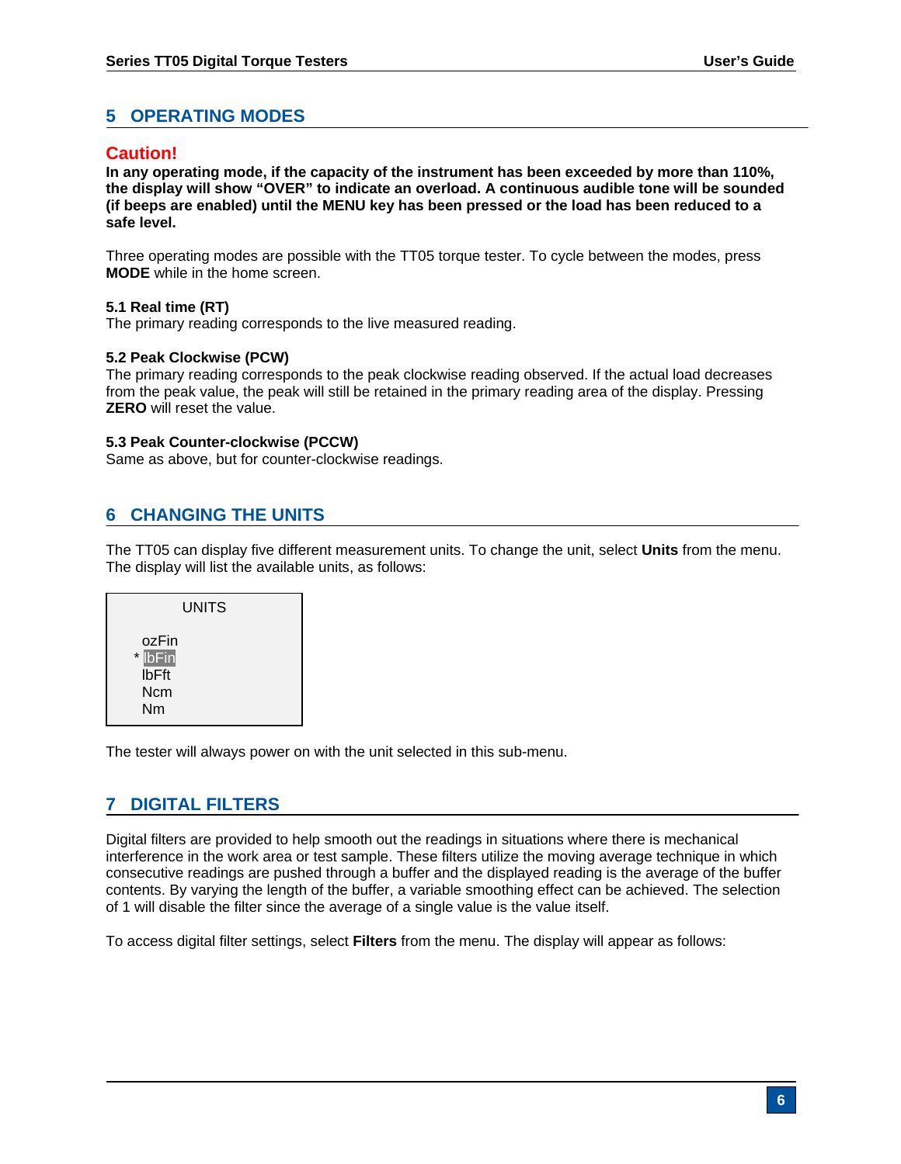# **5 OPERATING MODES**

# **Caution!**

**In any operating mode, if the capacity of the instrument has been exceeded by more than 110%, the display will show "OVER" to indicate an overload. A continuous audible tone will be sounded (if beeps are enabled) until the MENU key has been pressed or the load has been reduced to a safe level.** 

Three operating modes are possible with the TT05 torque tester. To cycle between the modes, press **MODE** while in the home screen.

#### **5.1 Real time (RT)**

The primary reading corresponds to the live measured reading.

#### **5.2 Peak Clockwise (PCW)**

The primary reading corresponds to the peak clockwise reading observed. If the actual load decreases from the peak value, the peak will still be retained in the primary reading area of the display. Pressing **ZERO** will reset the value.

#### **5.3 Peak Counter-clockwise (PCCW)**

Same as above, but for counter-clockwise readings.

# **6 CHANGING THE UNITS**

The TT05 can display five different measurement units. To change the unit, select **Units** from the menu. The display will list the available units, as follows:

| <b>UNITS</b>                                         |  |
|------------------------------------------------------|--|
| ozFin<br>* <b>IbFin</b><br><b>IbFft</b><br>Ncm<br>Nm |  |

The tester will always power on with the unit selected in this sub-menu.

# **7 DIGITAL FILTERS**

Digital filters are provided to help smooth out the readings in situations where there is mechanical interference in the work area or test sample. These filters utilize the moving average technique in which consecutive readings are pushed through a buffer and the displayed reading is the average of the buffer contents. By varying the length of the buffer, a variable smoothing effect can be achieved. The selection of 1 will disable the filter since the average of a single value is the value itself.

To access digital filter settings, select **Filters** from the menu. The display will appear as follows: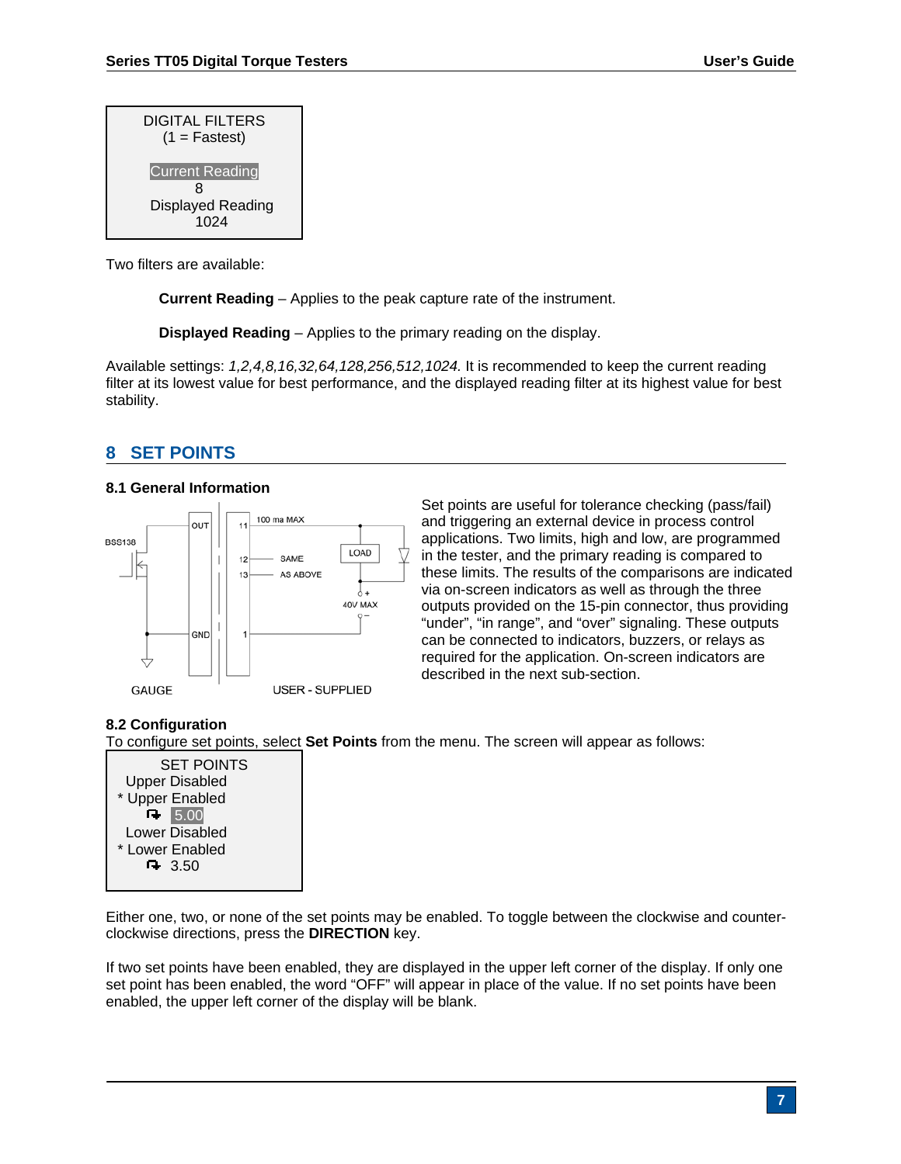| <b>DIGITAL FILTERS</b><br>$(1 = Fastest)$ |
|-------------------------------------------|
| <b>Current Reading</b>                    |
| я                                         |
| Displayed Reading                         |
| 1024                                      |

Two filters are available:

**Current Reading** – Applies to the peak capture rate of the instrument.

**Displayed Reading** – Applies to the primary reading on the display.

Available settings: *1,2,4,8,16,32,64,128,256,512,1024.* It is recommended to keep the current reading filter at its lowest value for best performance, and the displayed reading filter at its highest value for best stability.

# **8 SET POINTS**

## **8.1 General Information**



Set points are useful for tolerance checking (pass/fail) and triggering an external device in process control applications. Two limits, high and low, are programmed in the tester, and the primary reading is compared to these limits. The results of the comparisons are indicated via on-screen indicators as well as through the three outputs provided on the 15-pin connector, thus providing "under", "in range", and "over" signaling. These outputs can be connected to indicators, buzzers, or relays as required for the application. On-screen indicators are described in the next sub-section.

## **8.2 Configuration**

To configure set points, select **Set Points** from the menu. The screen will appear as follows:

SET POINTS Upper Disabled \* Upper Enabled R 5.00 Lower Disabled \* Lower Enabled  $-3.50$ 

Either one, two, or none of the set points may be enabled. To toggle between the clockwise and counterclockwise directions, press the **DIRECTION** key.

If two set points have been enabled, they are displayed in the upper left corner of the display. If only one set point has been enabled, the word "OFF" will appear in place of the value. If no set points have been enabled, the upper left corner of the display will be blank.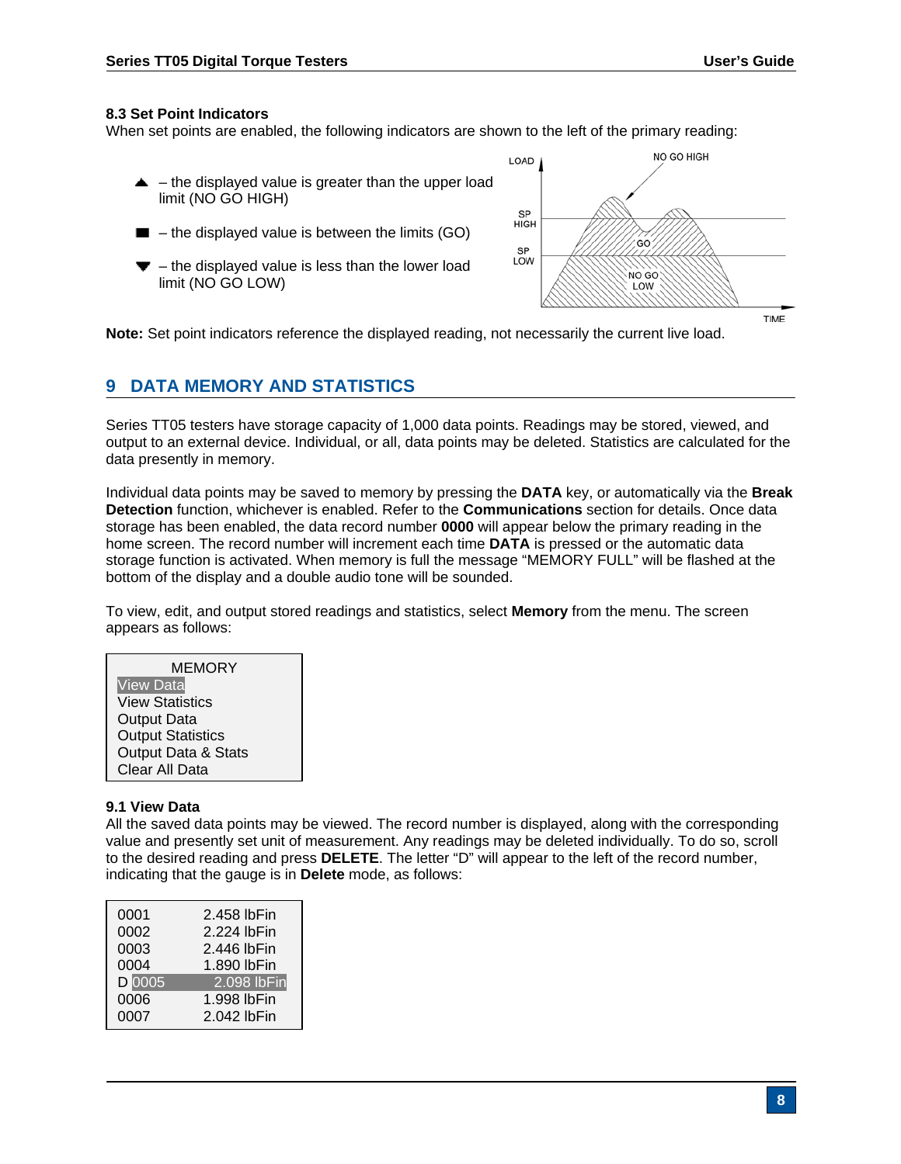#### **8.3 Set Point Indicators**

When set points are enabled, the following indicators are shown to the left of the primary reading:

- $\triangle$  the displayed value is greater than the upper load limit (NO GO HIGH)
- $\blacksquare$  the displayed value is between the limits (GO)
- $\blacktriangledown$  the displayed value is less than the lower load limit (NO GO LOW)



**Note:** Set point indicators reference the displayed reading, not necessarily the current live load.

# **9 DATA MEMORY AND STATISTICS**

Series TT05 testers have storage capacity of 1,000 data points. Readings may be stored, viewed, and output to an external device. Individual, or all, data points may be deleted. Statistics are calculated for the data presently in memory.

Individual data points may be saved to memory by pressing the **DATA** key, or automatically via the **Break Detection** function, whichever is enabled. Refer to the **Communications** section for details. Once data storage has been enabled, the data record number **0000** will appear below the primary reading in the home screen. The record number will increment each time **DATA** is pressed or the automatic data storage function is activated. When memory is full the message "MEMORY FULL" will be flashed at the bottom of the display and a double audio tone will be sounded.

To view, edit, and output stored readings and statistics, select **Memory** from the menu. The screen appears as follows:

| <b>MEMORY</b>            |
|--------------------------|
| <b>View Data</b>         |
| <b>View Statistics</b>   |
| <b>Output Data</b>       |
| <b>Output Statistics</b> |
| Output Data & Stats      |
| Clear All Data           |

#### **9.1 View Data**

All the saved data points may be viewed. The record number is displayed, along with the corresponding value and presently set unit of measurement. Any readings may be deleted individually. To do so, scroll to the desired reading and press **DELETE**. The letter "D" will appear to the left of the record number, indicating that the gauge is in **Delete** mode, as follows:

| 0001   | 2.458 lbFin |
|--------|-------------|
| 0002   | 2.224 lbFin |
| 0003   | 2.446 lbFin |
| 0004   | 1.890 lbFin |
| D 0005 | 2.098 lbFin |
| 0006   | 1.998 lbFin |
| 0007   | 2.042 lbFin |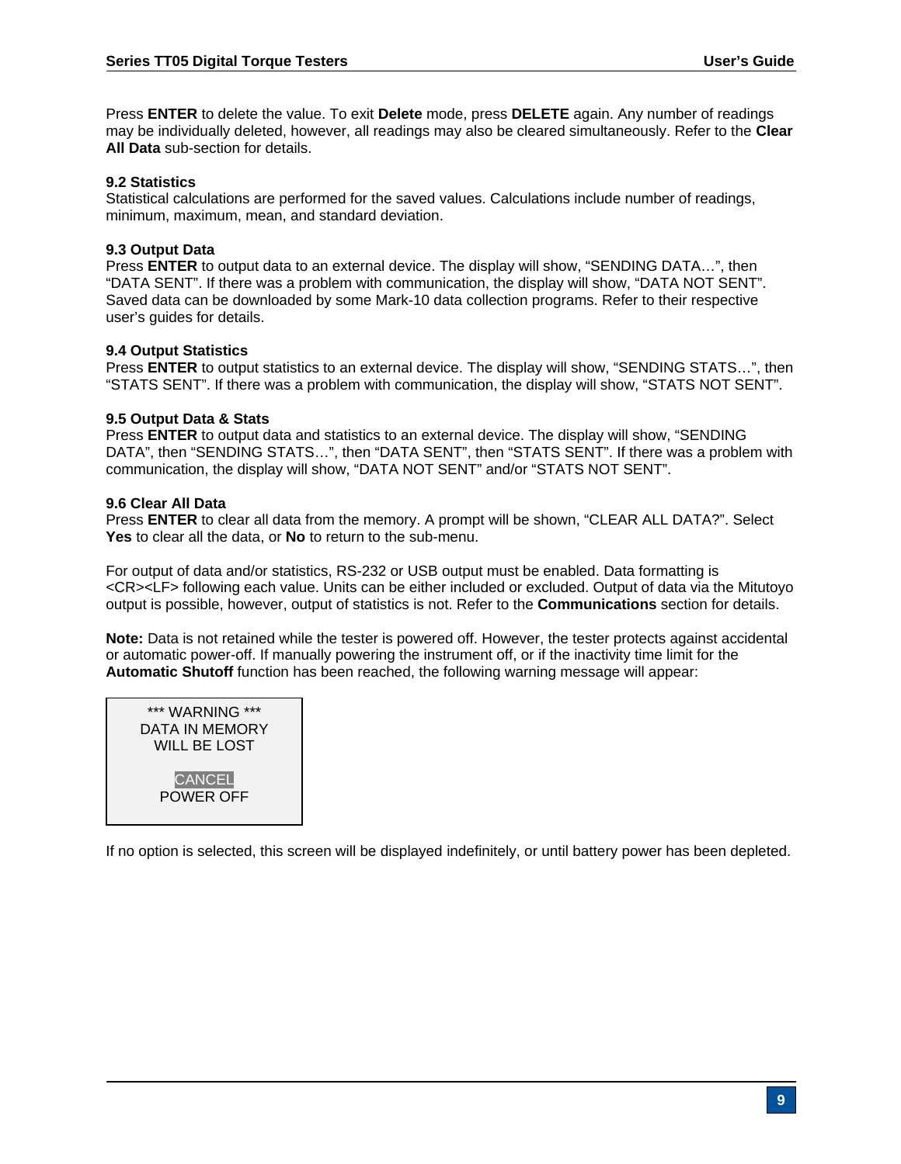Press **ENTER** to delete the value. To exit **Delete** mode, press **DELETE** again. Any number of readings may be individually deleted, however, all readings may also be cleared simultaneously. Refer to the **Clear All Data** sub-section for details.

#### **9.2 Statistics**

Statistical calculations are performed for the saved values. Calculations include number of readings, minimum, maximum, mean, and standard deviation.

#### **9.3 Output Data**

Press **ENTER** to output data to an external device. The display will show, "SENDING DATA…", then "DATA SENT". If there was a problem with communication, the display will show, "DATA NOT SENT". Saved data can be downloaded by some Mark-10 data collection programs. Refer to their respective user's guides for details.

#### **9.4 Output Statistics**

Press **ENTER** to output statistics to an external device. The display will show, "SENDING STATS…", then "STATS SENT". If there was a problem with communication, the display will show, "STATS NOT SENT".

#### **9.5 Output Data & Stats**

Press **ENTER** to output data and statistics to an external device. The display will show, "SENDING DATA", then "SENDING STATS…", then "DATA SENT", then "STATS SENT". If there was a problem with communication, the display will show, "DATA NOT SENT" and/or "STATS NOT SENT".

#### **9.6 Clear All Data**

Press **ENTER** to clear all data from the memory. A prompt will be shown, "CLEAR ALL DATA?". Select **Yes** to clear all the data, or **No** to return to the sub-menu.

For output of data and/or statistics, RS-232 or USB output must be enabled. Data formatting is <CR><LF> following each value. Units can be either included or excluded. Output of data via the Mitutoyo output is possible, however, output of statistics is not. Refer to the **Communications** section for details.

**Note:** Data is not retained while the tester is powered off. However, the tester protects against accidental or automatic power-off. If manually powering the instrument off, or if the inactivity time limit for the **Automatic Shutoff** function has been reached, the following warning message will appear:



If no option is selected, this screen will be displayed indefinitely, or until battery power has been depleted.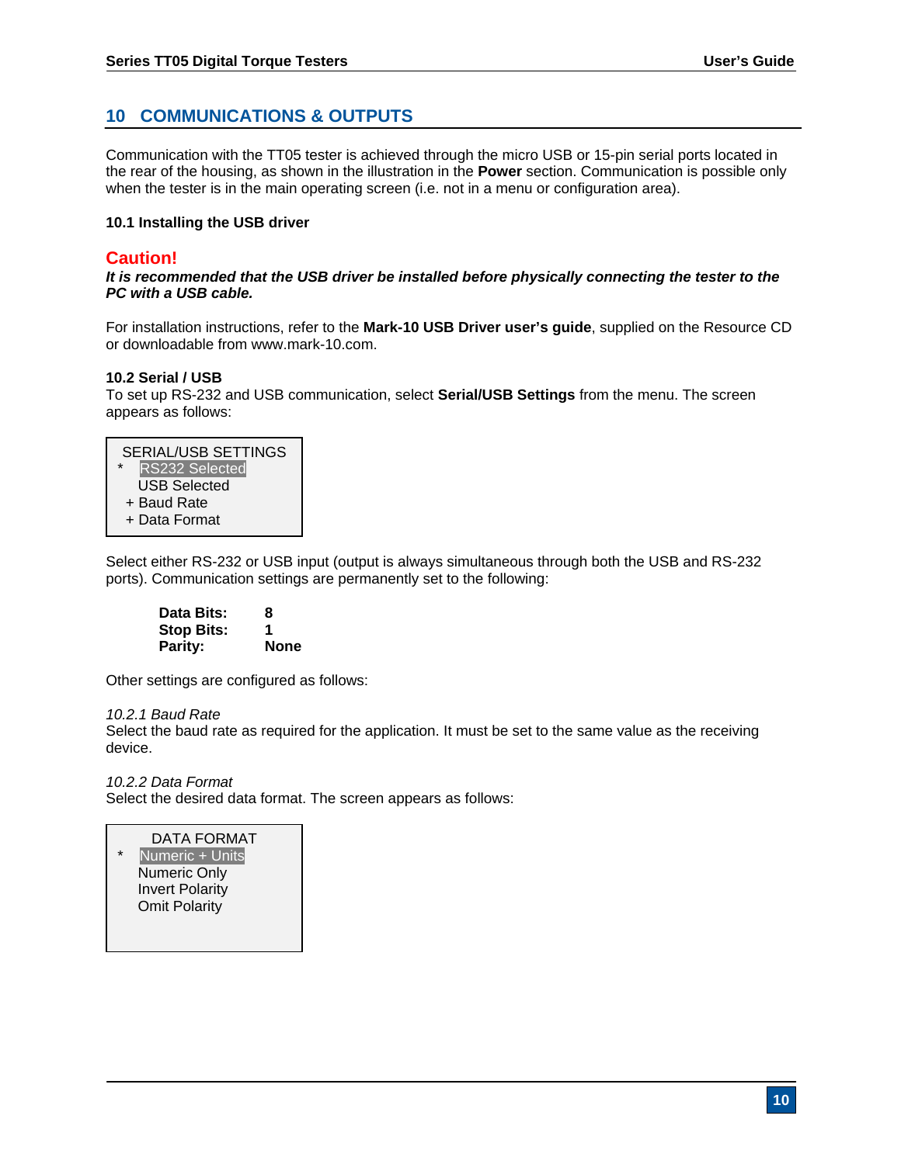# **10 COMMUNICATIONS & OUTPUTS**

Communication with the TT05 tester is achieved through the micro USB or 15-pin serial ports located in the rear of the housing, as shown in the illustration in the **Power** section. Communication is possible only when the tester is in the main operating screen (i.e. not in a menu or configuration area).

#### **10.1 Installing the USB driver**

# **Caution!**

*It is recommended that the USB driver be installed before physically connecting the tester to the PC with a USB cable.* 

For installation instructions, refer to the **Mark-10 USB Driver user's guide**, supplied on the Resource CD or downloadable from www.mark-10.com.

#### **10.2 Serial / USB**

To set up RS-232 and USB communication, select **Serial/USB Settings** from the menu. The screen appears as follows:

| <b>SERIAL/USB SETTINGS</b>       |  |
|----------------------------------|--|
| <b>RS232 Selected</b><br>$\star$ |  |
| <b>USB Selected</b>              |  |
| + Baud Rate                      |  |
| + Data Format                    |  |
|                                  |  |

Select either RS-232 or USB input (output is always simultaneous through both the USB and RS-232 ports). Communication settings are permanently set to the following:

| Data Bits:        | 8           |
|-------------------|-------------|
| <b>Stop Bits:</b> | 1           |
| <b>Parity:</b>    | <b>None</b> |

Other settings are configured as follows:

#### *10.2.1 Baud Rate*

Select the baud rate as required for the application. It must be set to the same value as the receiving device.

*10.2.2 Data Format* 

Select the desired data format. The screen appears as follows:

#### DATA FORMAT

Numeric + Units Numeric Only Invert Polarity Omit Polarity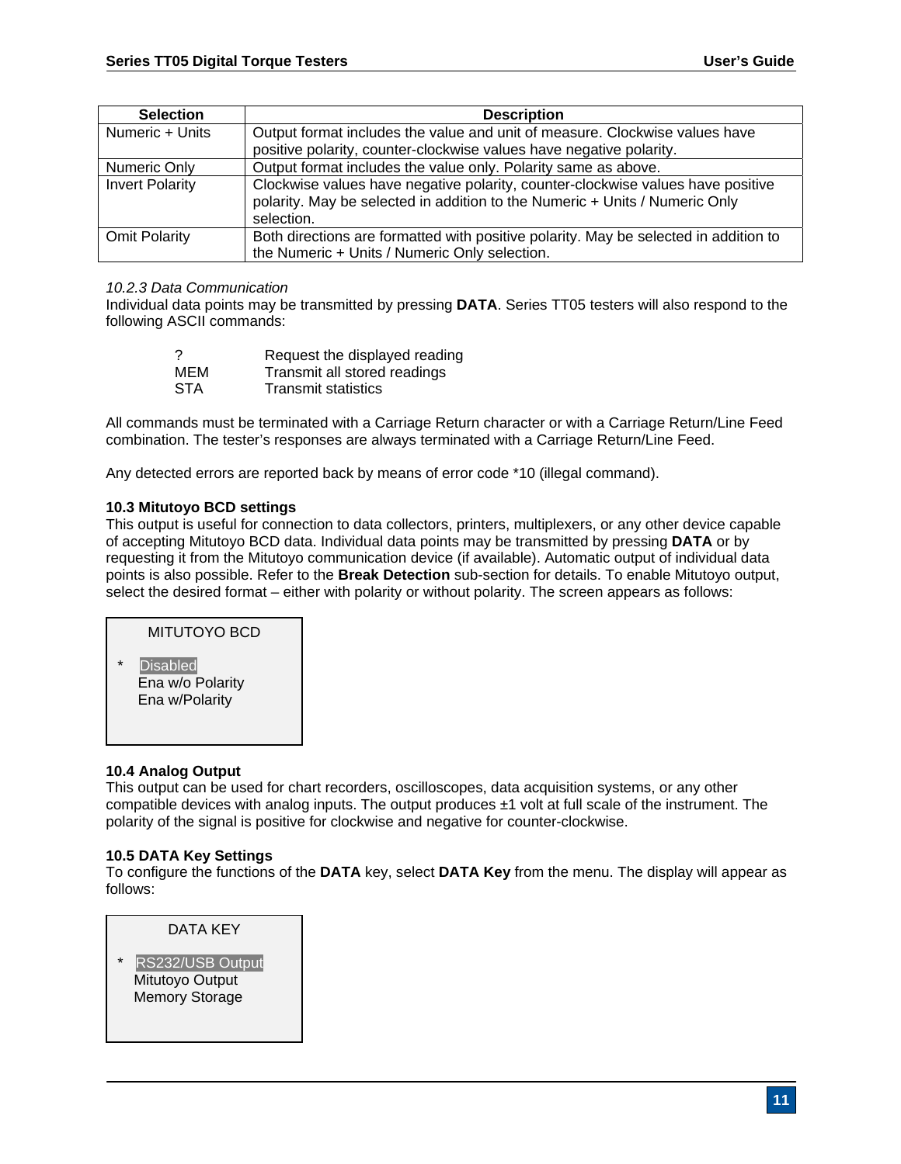| <b>Selection</b>       | <b>Description</b>                                                                                                                                                           |
|------------------------|------------------------------------------------------------------------------------------------------------------------------------------------------------------------------|
| Numeric + Units        | Output format includes the value and unit of measure. Clockwise values have                                                                                                  |
|                        | positive polarity, counter-clockwise values have negative polarity.                                                                                                          |
| Numeric Only           | Output format includes the value only. Polarity same as above.                                                                                                               |
| <b>Invert Polarity</b> | Clockwise values have negative polarity, counter-clockwise values have positive<br>polarity. May be selected in addition to the Numeric + Units / Numeric Only<br>selection. |
| <b>Omit Polarity</b>   | Both directions are formatted with positive polarity. May be selected in addition to<br>the Numeric + Units / Numeric Only selection.                                        |

#### *10.2.3 Data Communication*

Individual data points may be transmitted by pressing **DATA**. Series TT05 testers will also respond to the following ASCII commands:

|            | Request the displayed reading |
|------------|-------------------------------|
| MEM        | Transmit all stored readings  |
| <b>STA</b> | <b>Transmit statistics</b>    |

All commands must be terminated with a Carriage Return character or with a Carriage Return/Line Feed combination. The tester's responses are always terminated with a Carriage Return/Line Feed.

Any detected errors are reported back by means of error code \*10 (illegal command).

#### **10.3 Mitutoyo BCD settings**

This output is useful for connection to data collectors, printers, multiplexers, or any other device capable of accepting Mitutoyo BCD data. Individual data points may be transmitted by pressing **DATA** or by requesting it from the Mitutoyo communication device (if available). Automatic output of individual data points is also possible. Refer to the **Break Detection** sub-section for details. To enable Mitutoyo output, select the desired format – either with polarity or without polarity. The screen appears as follows:

MITUTOYO BCD

**Disabled**  Ena w/o Polarity Ena w/Polarity

#### **10.4 Analog Output**

This output can be used for chart recorders, oscilloscopes, data acquisition systems, or any other compatible devices with analog inputs. The output produces  $\pm 1$  volt at full scale of the instrument. The polarity of the signal is positive for clockwise and negative for counter-clockwise.

#### **10.5 DATA Key Settings**

To configure the functions of the **DATA** key, select **DATA Key** from the menu. The display will appear as follows:

DATA KEY RS232/USB Output Mitutoyo Output Memory Storage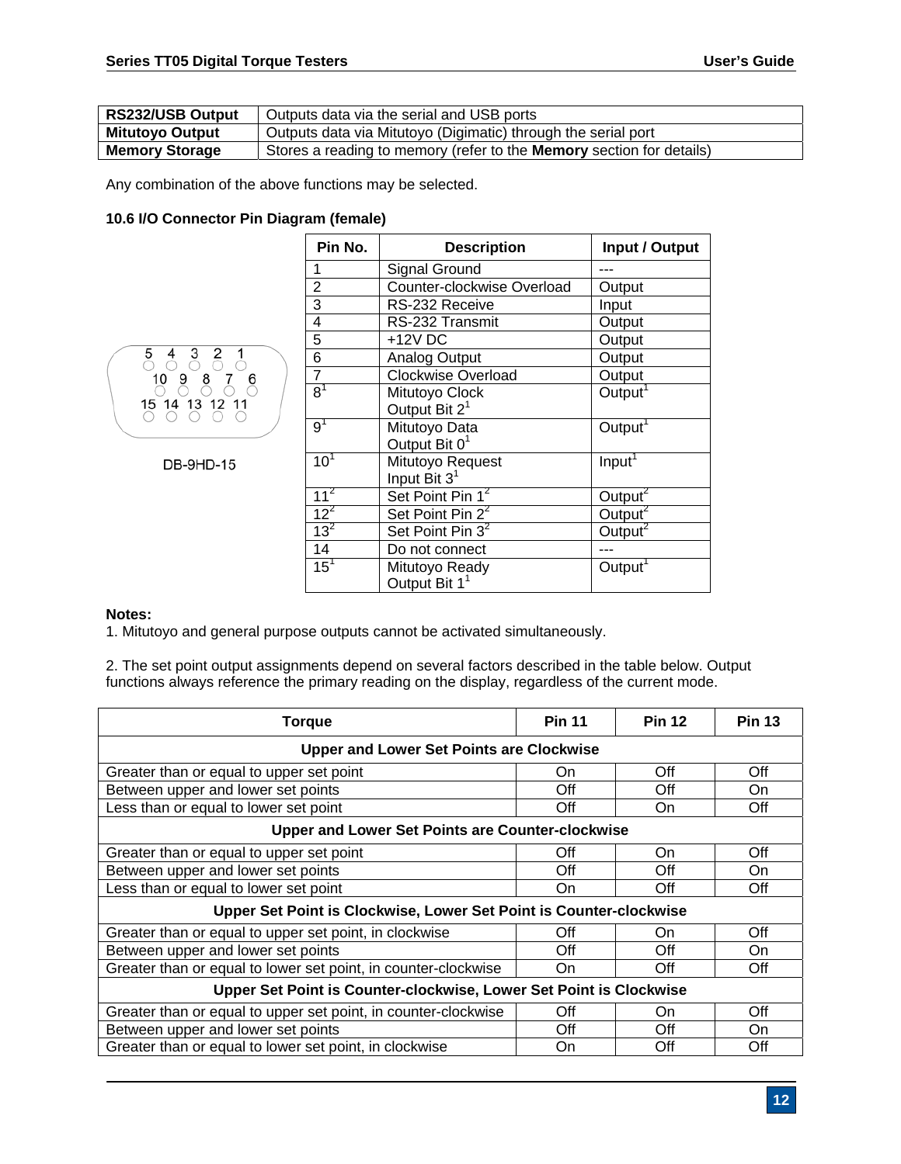| RS232/USB Output       | Outputs data via the serial and USB ports                                   |
|------------------------|-----------------------------------------------------------------------------|
| <b>Mitutoyo Output</b> | Outputs data via Mitutoyo (Digimatic) through the serial port               |
| <b>Memory Storage</b>  | Stores a reading to memory (refer to the <b>Memory</b> section for details) |

Any combination of the above functions may be selected.

#### **10.6 I/O Connector Pin Diagram (female)**



**DB-9HD-15** 

| Pin No.         | <b>Description</b>           | Input / Output      |
|-----------------|------------------------------|---------------------|
| 1               | <b>Signal Ground</b>         |                     |
| $\overline{2}$  | Counter-clockwise Overload   | Output              |
| 3               | RS-232 Receive               | Input               |
| 4               | RS-232 Transmit              | Output              |
| 5               | +12V DC                      | Output              |
| 6               | Analog Output                | Output              |
| $\overline{7}$  | <b>Clockwise Overload</b>    | Output              |
| $8^1$           | Mitutoyo Clock               | Output <sup>1</sup> |
|                 | Output Bit 2 <sup>1</sup>    |                     |
| 9 <sup>1</sup>  | Mitutoyo Data                | Output <sup>1</sup> |
|                 | Output Bit 0 <sup>1</sup>    |                     |
| 10 <sup>1</sup> | Mitutoyo Request             | Input <sup>1</sup>  |
|                 | Input Bit 3 <sup>1</sup>     |                     |
| 11 <sup>2</sup> | Set Point Pin 1 <sup>2</sup> | Output $^2$         |
| $12^2$          | Set Point Pin 2 <sup>2</sup> | Output $^2$         |
| $13^2$          | Set Point Pin 3 <sup>2</sup> | Qutput <sup>2</sup> |
| 14              | Do not connect               |                     |
| $15^{\top}$     | Mitutoyo Ready               | Output <sup>1</sup> |
|                 | Output Bit 1 <sup>1</sup>    |                     |

#### **Notes:**

1. Mitutoyo and general purpose outputs cannot be activated simultaneously.

2. The set point output assignments depend on several factors described in the table below. Output functions always reference the primary reading on the display, regardless of the current mode.

| <b>Torque</b>                                                      | <b>Pin 11</b> | <b>Pin 12</b> | <b>Pin 13</b> |
|--------------------------------------------------------------------|---------------|---------------|---------------|
| <b>Upper and Lower Set Points are Clockwise</b>                    |               |               |               |
| Greater than or equal to upper set point                           | On            | Off           | Off           |
| Between upper and lower set points                                 | Off           | Off           | On            |
| Less than or equal to lower set point                              | Off           | On            | Off           |
| <b>Upper and Lower Set Points are Counter-clockwise</b>            |               |               |               |
| Greater than or equal to upper set point                           | Off           | On            | Off           |
| Between upper and lower set points                                 | Off           | Off           | On            |
| Less than or equal to lower set point                              | On            | Off           | Off           |
| Upper Set Point is Clockwise, Lower Set Point is Counter-clockwise |               |               |               |
| Greater than or equal to upper set point, in clockwise             | Off           | On            | Off           |
| Between upper and lower set points                                 | Off           | Off           | On            |
| Greater than or equal to lower set point, in counter-clockwise     | On            | Off           | Off           |
| Upper Set Point is Counter-clockwise, Lower Set Point is Clockwise |               |               |               |
| Greater than or equal to upper set point, in counter-clockwise     | Off           | On            | Off           |
| Between upper and lower set points                                 | Off           | Off           | On.           |
| Greater than or equal to lower set point, in clockwise             | On            | Off           | Off           |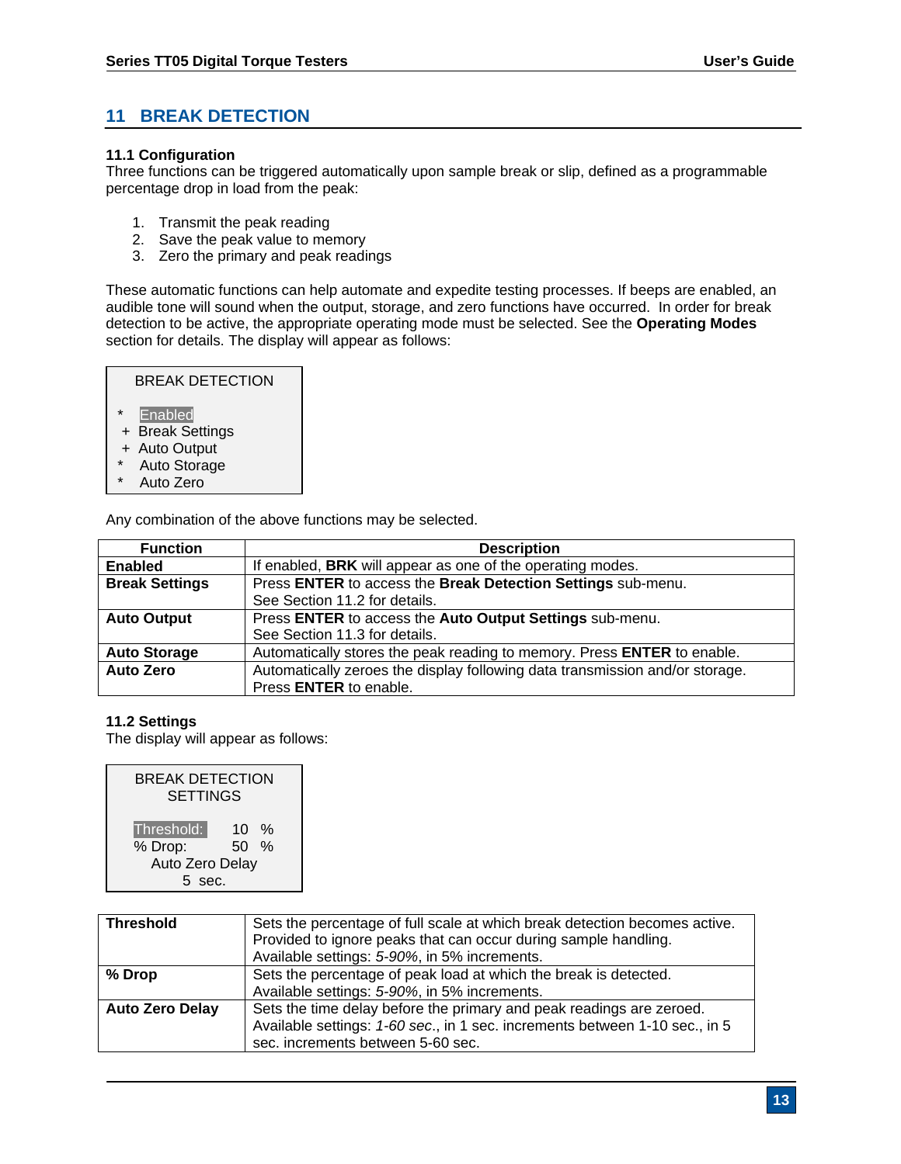# **11 BREAK DETECTION**

#### **11.1 Configuration**

Three functions can be triggered automatically upon sample break or slip, defined as a programmable percentage drop in load from the peak:

- 1. Transmit the peak reading
- 2. Save the peak value to memory
- 3. Zero the primary and peak readings

These automatic functions can help automate and expedite testing processes. If beeps are enabled, an audible tone will sound when the output, storage, and zero functions have occurred. In order for break detection to be active, the appropriate operating mode must be selected. See the **Operating Modes** section for details. The display will appear as follows:

| BREAK DETECTION    |  |
|--------------------|--|
| $\star$<br>Enabled |  |
| + Break Settings   |  |
| + Auto Output      |  |

- Auto Storage
- Auto Zero

Any combination of the above functions may be selected.

| <b>Function</b>       | <b>Description</b>                                                           |
|-----------------------|------------------------------------------------------------------------------|
| <b>Enabled</b>        | If enabled, BRK will appear as one of the operating modes.                   |
| <b>Break Settings</b> | Press ENTER to access the Break Detection Settings sub-menu.                 |
|                       | See Section 11.2 for details.                                                |
| <b>Auto Output</b>    | Press ENTER to access the Auto Output Settings sub-menu.                     |
|                       | See Section 11.3 for details.                                                |
| <b>Auto Storage</b>   | Automatically stores the peak reading to memory. Press ENTER to enable.      |
| <b>Auto Zero</b>      | Automatically zeroes the display following data transmission and/or storage. |
|                       | Press ENTER to enable.                                                       |

#### **11.2 Settings**

The display will appear as follows:

| <b>BREAK DETECTION</b><br><b>SETTINGS</b> |                |  |
|-------------------------------------------|----------------|--|
| Threshold:<br>% Drop:                     | 10 %<br>$50\%$ |  |
| Auto Zero Delay                           |                |  |
| sec.<br>5                                 |                |  |

| <b>Threshold</b>       | Sets the percentage of full scale at which break detection becomes active.<br>Provided to ignore peaks that can occur during sample handling.<br>Available settings: 5-90%, in 5% increments. |
|------------------------|-----------------------------------------------------------------------------------------------------------------------------------------------------------------------------------------------|
| % Drop                 | Sets the percentage of peak load at which the break is detected.<br>Available settings: 5-90%, in 5% increments.                                                                              |
| <b>Auto Zero Delay</b> | Sets the time delay before the primary and peak readings are zeroed.<br>Available settings: 1-60 sec., in 1 sec. increments between 1-10 sec., in 5<br>sec. increments between 5-60 sec.      |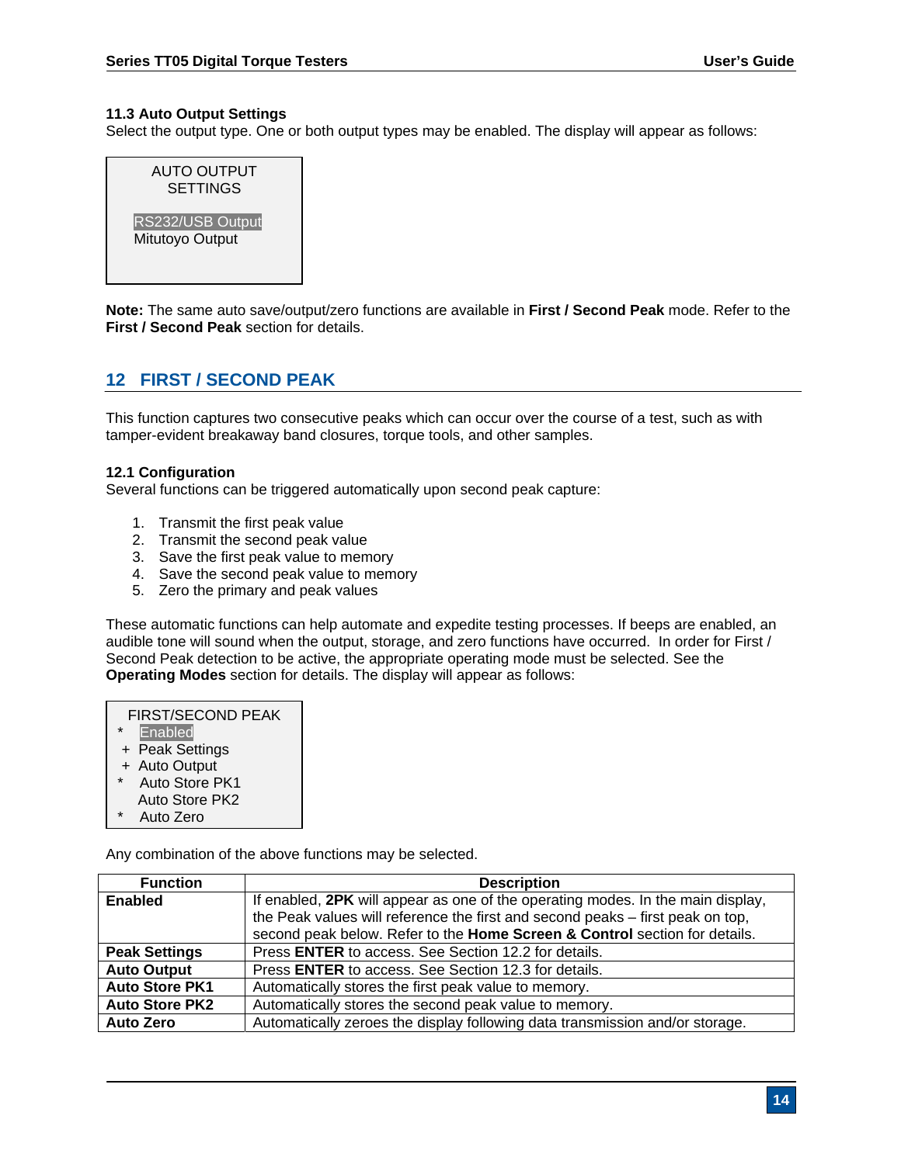#### **11.3 Auto Output Settings**

Select the output type. One or both output types may be enabled. The display will appear as follows:

| <b>AUTO OUTPUT</b><br><b>SETTINGS</b> |
|---------------------------------------|
| RS232/USB Output<br>Mitutoyo Output   |

**Note:** The same auto save/output/zero functions are available in **First / Second Peak** mode. Refer to the **First / Second Peak** section for details.

# **12 FIRST / SECOND PEAK**

This function captures two consecutive peaks which can occur over the course of a test, such as with tamper-evident breakaway band closures, torque tools, and other samples.

#### **12.1 Configuration**

Several functions can be triggered automatically upon second peak capture:

- 1. Transmit the first peak value
- 2. Transmit the second peak value
- 3. Save the first peak value to memory
- 4. Save the second peak value to memory
- 5. Zero the primary and peak values

These automatic functions can help automate and expedite testing processes. If beeps are enabled, an audible tone will sound when the output, storage, and zero functions have occurred. In order for First / Second Peak detection to be active, the appropriate operating mode must be selected. See the **Operating Modes** section for details. The display will appear as follows:

| <b>FIRST/SECOND PEAK</b>  |
|---------------------------|
| $\star$<br><b>Enabled</b> |
| + Peak Settings           |
| + Auto Output             |

- Auto Store PK1
- Auto Store PK2
- Auto Zero

Any combination of the above functions may be selected.

| <b>Function</b>       | <b>Description</b>                                                              |
|-----------------------|---------------------------------------------------------------------------------|
| Enabled               | If enabled, 2PK will appear as one of the operating modes. In the main display, |
|                       | the Peak values will reference the first and second peaks - first peak on top,  |
|                       | second peak below. Refer to the Home Screen & Control section for details.      |
| <b>Peak Settings</b>  | Press <b>ENTER</b> to access. See Section 12.2 for details.                     |
| <b>Auto Output</b>    | Press ENTER to access. See Section 12.3 for details.                            |
| <b>Auto Store PK1</b> | Automatically stores the first peak value to memory.                            |
| <b>Auto Store PK2</b> | Automatically stores the second peak value to memory.                           |
| <b>Auto Zero</b>      | Automatically zeroes the display following data transmission and/or storage.    |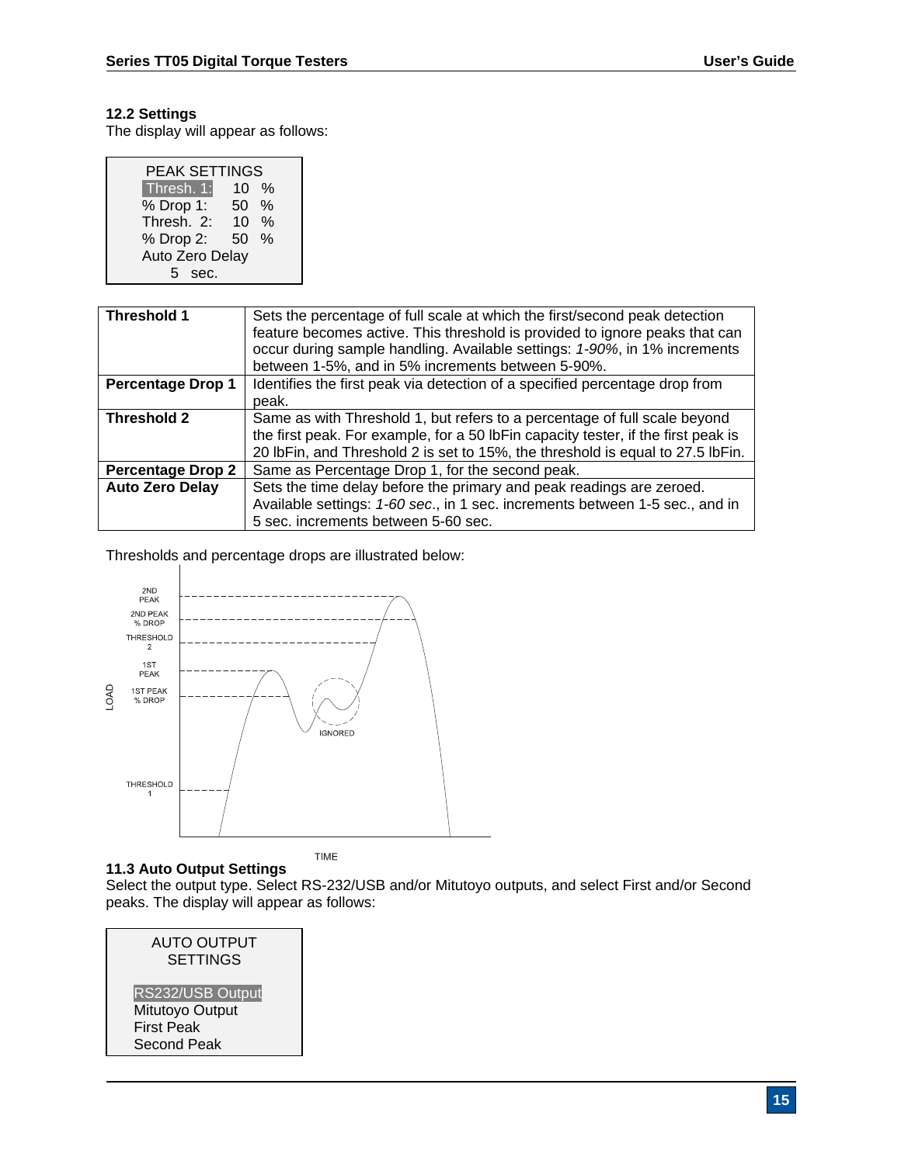# **12.2 Settings**

The display will appear as follows:

| <b>PEAK SETTINGS</b> |    |               |  |
|----------------------|----|---------------|--|
| Thresh. 1:           | 10 | $\%$          |  |
| % Drop 1:            | 50 | $\frac{0}{0}$ |  |
| Thresh. 2:           | 10 | $\%$          |  |
| % Drop 2:            | 50 | $\%$          |  |
| Auto Zero Delay      |    |               |  |
| sec.                 |    |               |  |

| <b>Threshold 1</b>       | Sets the percentage of full scale at which the first/second peak detection<br>feature becomes active. This threshold is provided to ignore peaks that can<br>occur during sample handling. Available settings: 1-90%, in 1% increments<br>between 1-5%, and in 5% increments between 5-90%. |
|--------------------------|---------------------------------------------------------------------------------------------------------------------------------------------------------------------------------------------------------------------------------------------------------------------------------------------|
| <b>Percentage Drop 1</b> | Identifies the first peak via detection of a specified percentage drop from<br>peak.                                                                                                                                                                                                        |
| <b>Threshold 2</b>       | Same as with Threshold 1, but refers to a percentage of full scale beyond<br>the first peak. For example, for a 50 lbFin capacity tester, if the first peak is<br>20 lbFin, and Threshold 2 is set to 15%, the threshold is equal to 27.5 lbFin.                                            |
| <b>Percentage Drop 2</b> | Same as Percentage Drop 1, for the second peak.                                                                                                                                                                                                                                             |
| <b>Auto Zero Delay</b>   | Sets the time delay before the primary and peak readings are zeroed.<br>Available settings: 1-60 sec., in 1 sec. increments between 1-5 sec., and in<br>5 sec. increments between 5-60 sec.                                                                                                 |

Thresholds and percentage drops are illustrated below:



# **11.3 Auto Output Settings**

Select the output type. Select RS-232/USB and/or Mitutoyo outputs, and select First and/or Second peaks. The display will appear as follows:

| <b>AUTO OUTPUT</b><br><b>SETTINGS</b>                                          |  |
|--------------------------------------------------------------------------------|--|
| RS232/USB Output<br>Mitutoyo Output<br><b>First Peak</b><br><b>Second Peak</b> |  |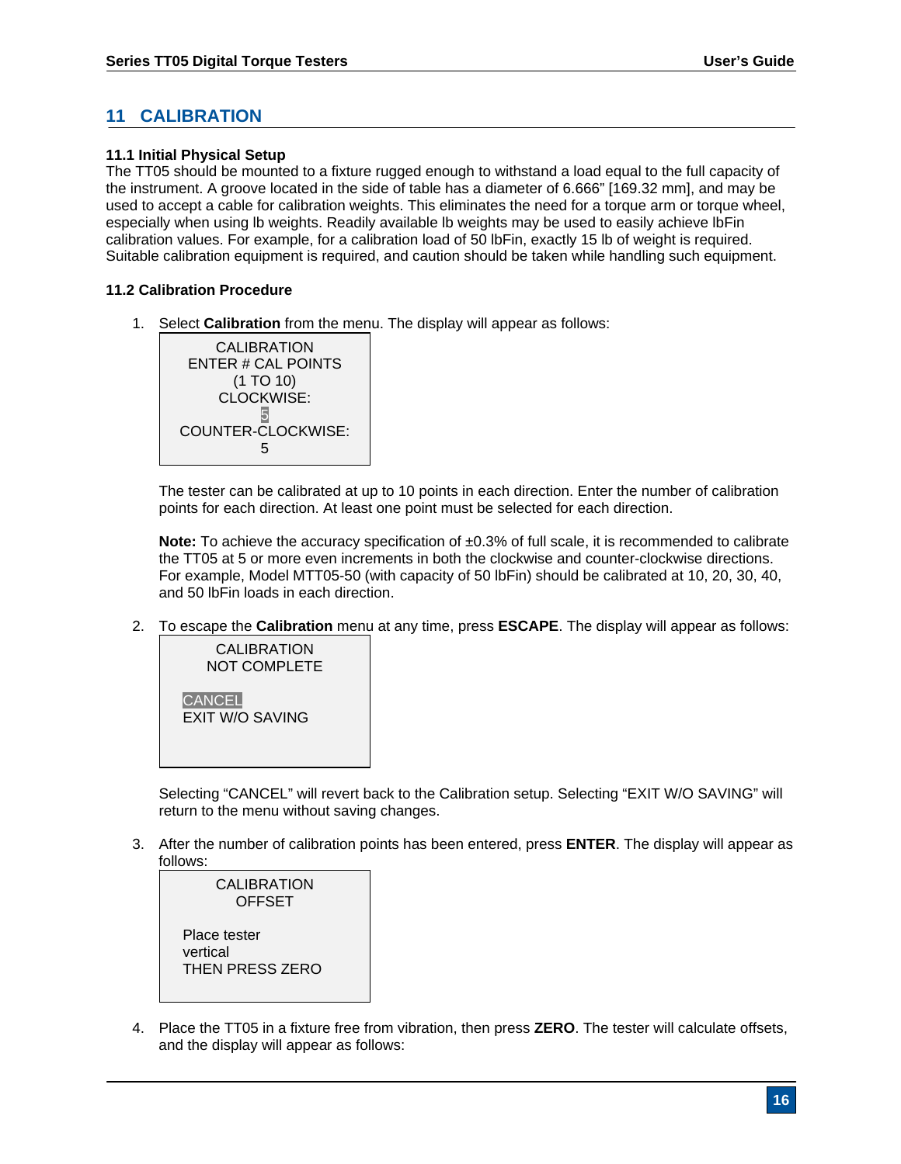# **11 CALIBRATION**

#### **11.1 Initial Physical Setup**

The TT05 should be mounted to a fixture rugged enough to withstand a load equal to the full capacity of the instrument. A groove located in the side of table has a diameter of 6.666" [169.32 mm], and may be used to accept a cable for calibration weights. This eliminates the need for a torque arm or torque wheel, especially when using lb weights. Readily available lb weights may be used to easily achieve lbFin calibration values. For example, for a calibration load of 50 lbFin, exactly 15 lb of weight is required. Suitable calibration equipment is required, and caution should be taken while handling such equipment.

#### **11.2 Calibration Procedure**

1. Select **Calibration** from the menu. The display will appear as follows:



The tester can be calibrated at up to 10 points in each direction. Enter the number of calibration points for each direction. At least one point must be selected for each direction.

**Note:** To achieve the accuracy specification of  $\pm 0.3$ % of full scale, it is recommended to calibrate the TT05 at 5 or more even increments in both the clockwise and counter-clockwise directions. For example, Model MTT05-50 (with capacity of 50 lbFin) should be calibrated at 10, 20, 30, 40, and 50 lbFin loads in each direction.

2. To escape the **Calibration** menu at any time, press **ESCAPE**. The display will appear as follows:



Selecting "CANCEL" will revert back to the Calibration setup. Selecting "EXIT W/O SAVING" will return to the menu without saving changes.

3. After the number of calibration points has been entered, press **ENTER**. The display will appear as follows:



4. Place the TT05 in a fixture free from vibration, then press **ZERO**. The tester will calculate offsets, and the display will appear as follows: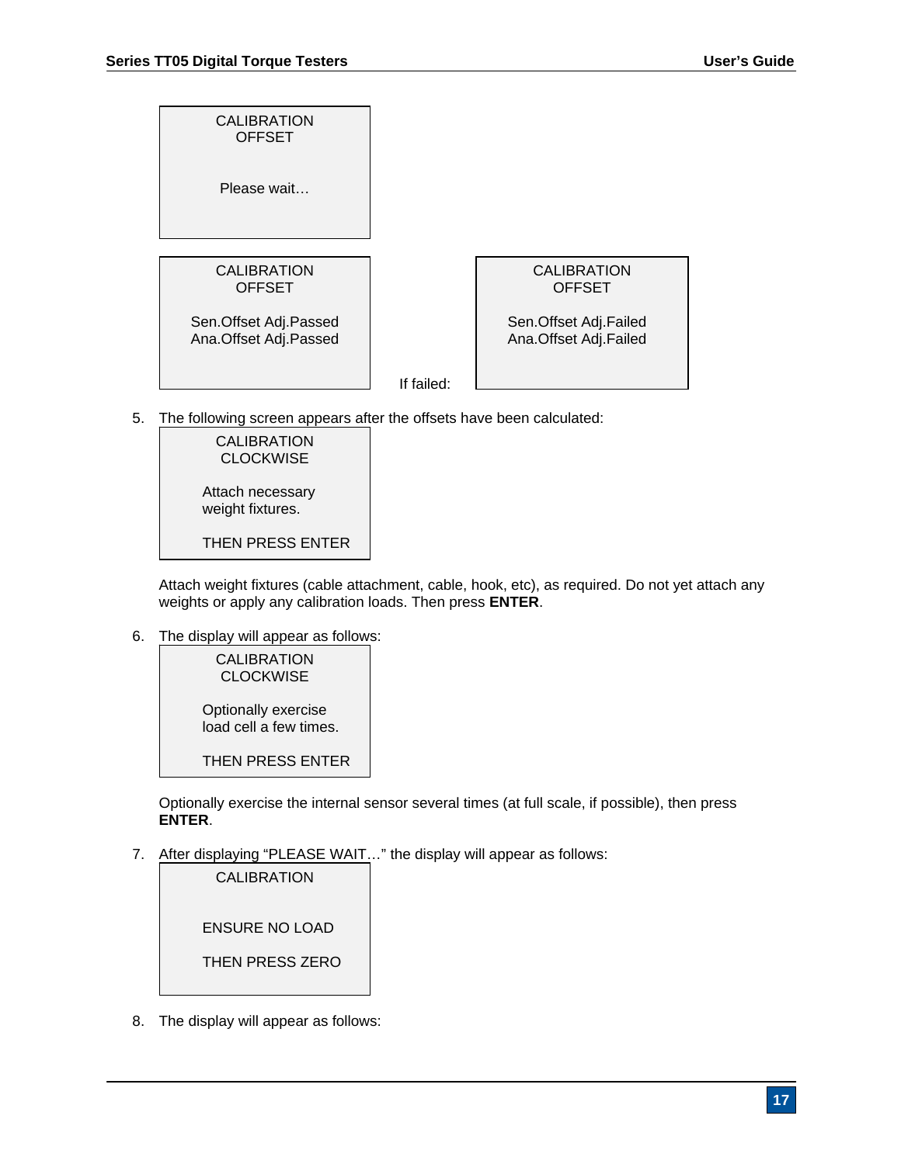| <b>CALIBRATION</b><br><b>OFFSET</b>            |            |                                                |
|------------------------------------------------|------------|------------------------------------------------|
| Please wait                                    |            |                                                |
|                                                |            |                                                |
| <b>CALIBRATION</b><br><b>OFFSET</b>            |            | <b>CALIBRATION</b><br><b>OFFSET</b>            |
| Sen.Offset Adj.Passed<br>Ana.Offset Adj.Passed |            | Sen.Offset Adj.Failed<br>Ana.Offset Adj.Failed |
|                                                | If failed: |                                                |

5. The following screen appears after the offsets have been calculated:



Attach weight fixtures (cable attachment, cable, hook, etc), as required. Do not yet attach any weights or apply any calibration loads. Then press **ENTER**.

6. The display will appear as follows:

**CALIBRATION CLOCKWISE** Optionally exercise load cell a few times.

THEN PRESS ENTER

Optionally exercise the internal sensor several times (at full scale, if possible), then press **ENTER**.

7. After displaying "PLEASE WAIT…" the display will appear as follows:

| <b>CALIBRATION</b>    |  |
|-----------------------|--|
| <b>ENSURE NO LOAD</b> |  |
| THEN PRESS ZERO       |  |

8. The display will appear as follows: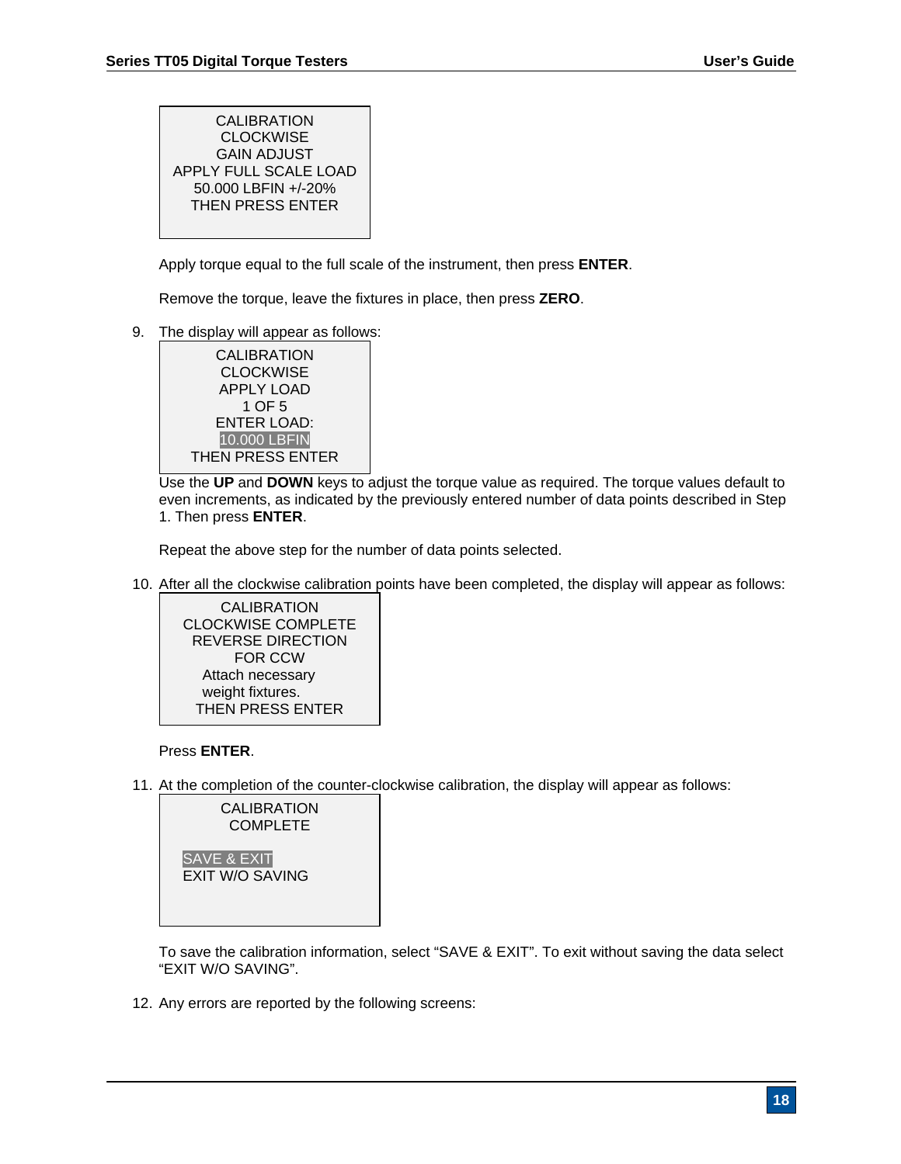**CALIBRATION CLOCKWISE** GAIN ADJUST APPLY FULL SCALE LOAD 50.000 LBFIN +/-20% THEN PRESS ENTER

Apply torque equal to the full scale of the instrument, then press **ENTER**.

Remove the torque, leave the fixtures in place, then press **ZERO**.

9. The display will appear as follows:



 Use the **UP** and **DOWN** keys to adjust the torque value as required. The torque values default to even increments, as indicated by the previously entered number of data points described in Step 1. Then press **ENTER**.

Repeat the above step for the number of data points selected.

10. After all the clockwise calibration points have been completed, the display will appear as follows:



## Press **ENTER**.

11. At the completion of the counter-clockwise calibration, the display will appear as follows:



To save the calibration information, select "SAVE & EXIT". To exit without saving the data select "EXIT W/O SAVING".

12. Any errors are reported by the following screens: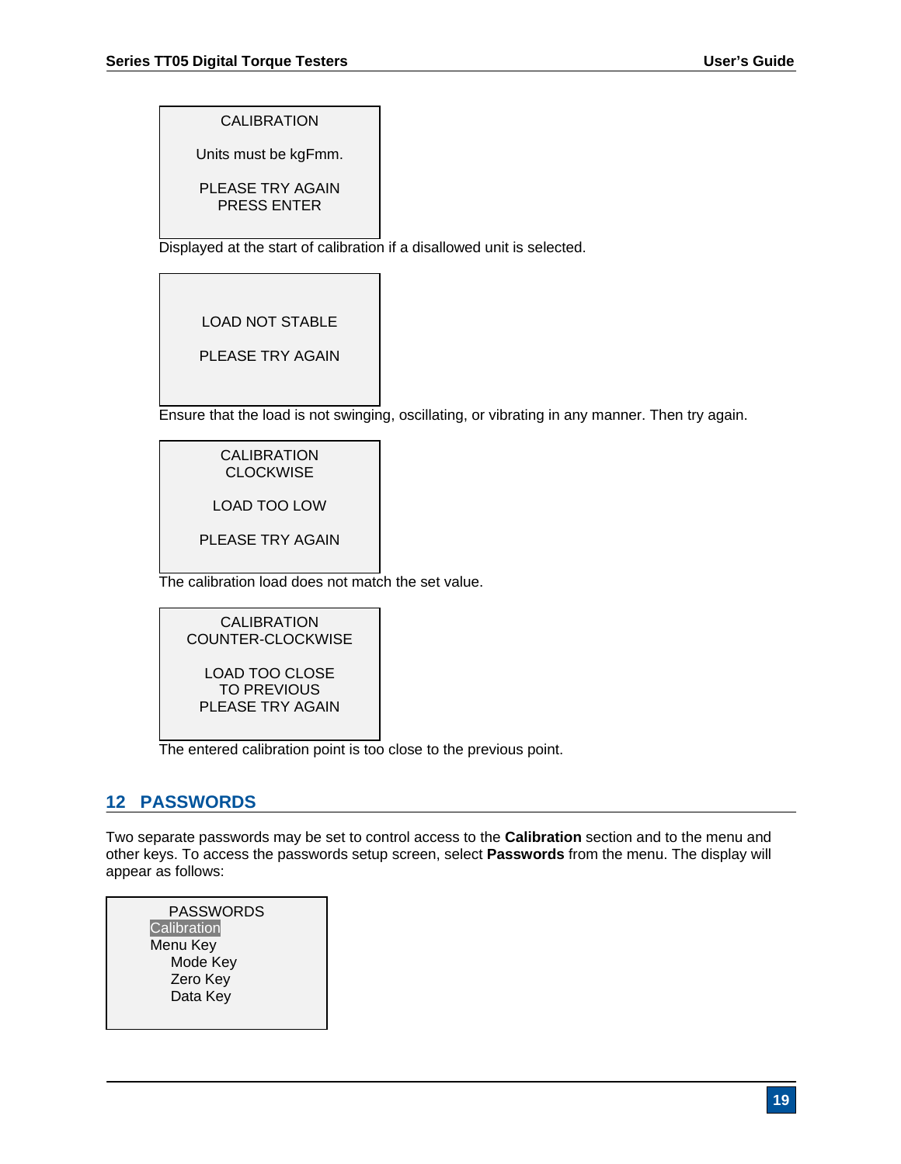CALIBRATION

Units must be kgFmm.

PLEASE TRY AGAIN PRESS ENTER

Displayed at the start of calibration if a disallowed unit is selected.

LOAD NOT STABLE

PLEASE TRY AGAIN

Ensure that the load is not swinging, oscillating, or vibrating in any manner. Then try again.

# CALIBRATION **CLOCKWISE**

LOAD TOO LOW

PLEASE TRY AGAIN

The calibration load does not match the set value.

CALIBRATION COUNTER-CLOCKWISE LOAD TOO CLOSE TO PREVIOUS PLEASE TRY AGAIN

The entered calibration point is too close to the previous point.

# **12 PASSWORDS**

Two separate passwords may be set to control access to the **Calibration** section and to the menu and other keys. To access the passwords setup screen, select **Passwords** from the menu. The display will appear as follows:

| <b>PASSWORDS</b> |  |
|------------------|--|
| Calibration      |  |
| Menu Key         |  |
| Mode Key         |  |
| Zero Key         |  |
| Data Key         |  |
|                  |  |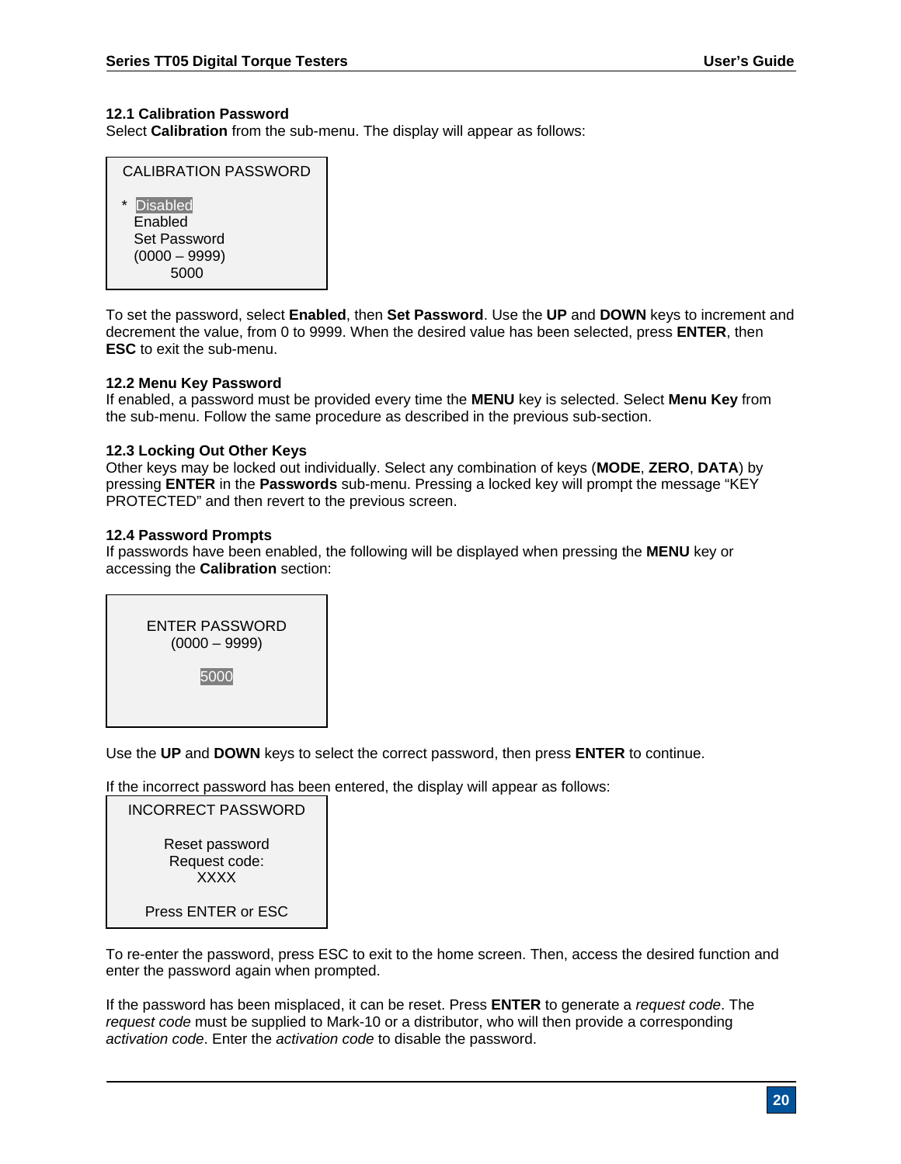#### **12.1 Calibration Password**

Select **Calibration** from the sub-menu. The display will appear as follows:

| CALIBRATION PASSWORD                                                      |  |  |
|---------------------------------------------------------------------------|--|--|
| Disabled<br>$\star$<br>Enabled<br>Set Password<br>$(0000 - 9999)$<br>5000 |  |  |

To set the password, select **Enabled**, then **Set Password**. Use the **UP** and **DOWN** keys to increment and decrement the value, from 0 to 9999. When the desired value has been selected, press **ENTER**, then **ESC** to exit the sub-menu.

#### **12.2 Menu Key Password**

If enabled, a password must be provided every time the **MENU** key is selected. Select **Menu Key** from the sub-menu. Follow the same procedure as described in the previous sub-section.

#### **12.3 Locking Out Other Keys**

Other keys may be locked out individually. Select any combination of keys (**MODE**, **ZERO**, **DATA**) by pressing **ENTER** in the **Passwords** sub-menu. Pressing a locked key will prompt the message "KEY PROTECTED" and then revert to the previous screen.

#### **12.4 Password Prompts**

If passwords have been enabled, the following will be displayed when pressing the **MENU** key or accessing the **Calibration** section:

ENTER PASSWORD (0000 – 9999) 5000

Use the **UP** and **DOWN** keys to select the correct password, then press **ENTER** to continue.

If the incorrect password has been entered, the display will appear as follows:



To re-enter the password, press ESC to exit to the home screen. Then, access the desired function and enter the password again when prompted.

If the password has been misplaced, it can be reset. Press **ENTER** to generate a *request code*. The *request code* must be supplied to Mark-10 or a distributor, who will then provide a corresponding *activation code*. Enter the *activation code* to disable the password.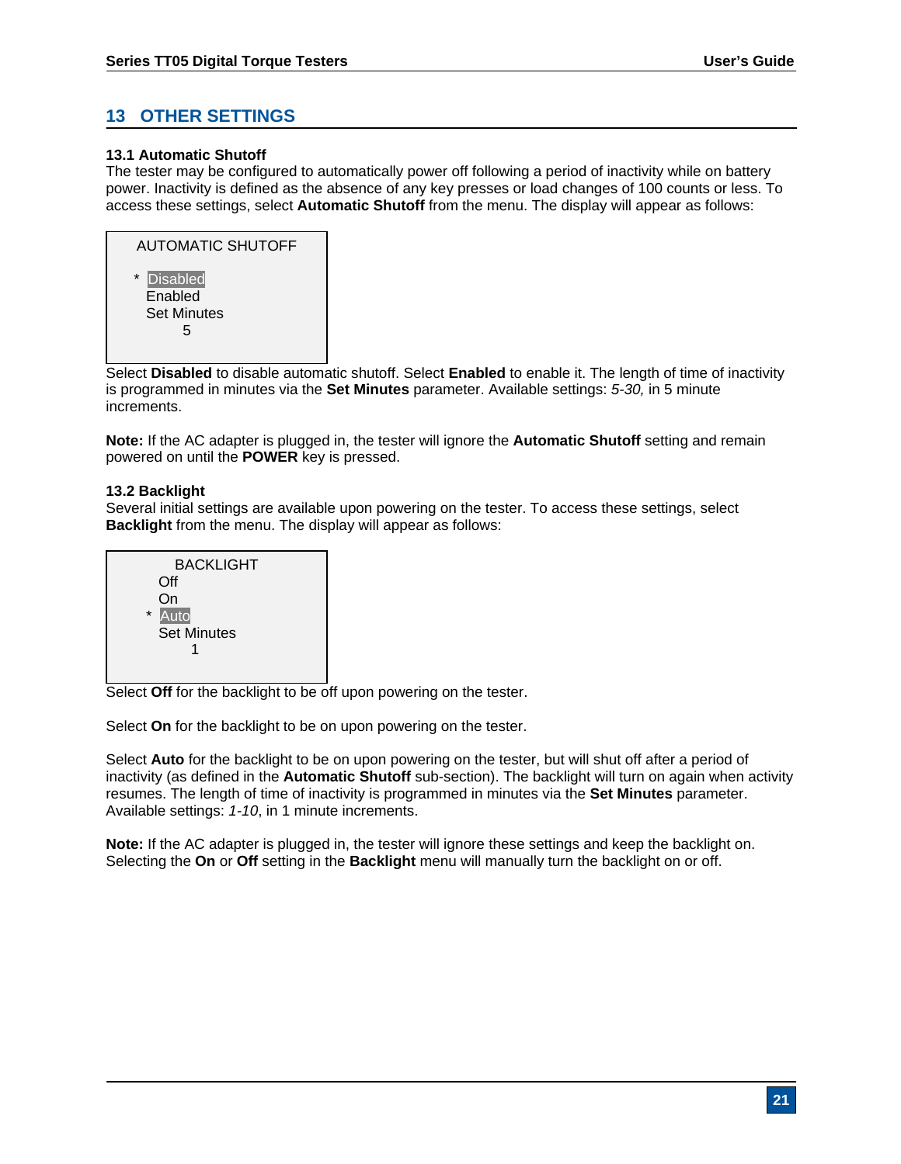# **13 OTHER SETTINGS**

#### **13.1 Automatic Shutoff**

The tester may be configured to automatically power off following a period of inactivity while on battery power. Inactivity is defined as the absence of any key presses or load changes of 100 counts or less. To access these settings, select **Automatic Shutoff** from the menu. The display will appear as follows:

| <b>AUTOMATIC SHUTOFF</b>                         |
|--------------------------------------------------|
| * Disabled<br>Enabled<br><b>Set Minutes</b><br>5 |

 Select **Disabled** to disable automatic shutoff. Select **Enabled** to enable it. The length of time of inactivity is programmed in minutes via the **Set Minutes** parameter. Available settings: *5-30,* in 5 minute increments.

**Note:** If the AC adapter is plugged in, the tester will ignore the **Automatic Shutoff** setting and remain powered on until the **POWER** key is pressed.

#### **13.2 Backlight**

Several initial settings are available upon powering on the tester. To access these settings, select **Backlight** from the menu. The display will appear as follows:



Select **Off** for the backlight to be off upon powering on the tester.

Select **On** for the backlight to be on upon powering on the tester.

Select **Auto** for the backlight to be on upon powering on the tester, but will shut off after a period of inactivity (as defined in the **Automatic Shutoff** sub-section). The backlight will turn on again when activity resumes. The length of time of inactivity is programmed in minutes via the **Set Minutes** parameter. Available settings: *1-10*, in 1 minute increments.

**Note:** If the AC adapter is plugged in, the tester will ignore these settings and keep the backlight on. Selecting the **On** or **Off** setting in the **Backlight** menu will manually turn the backlight on or off.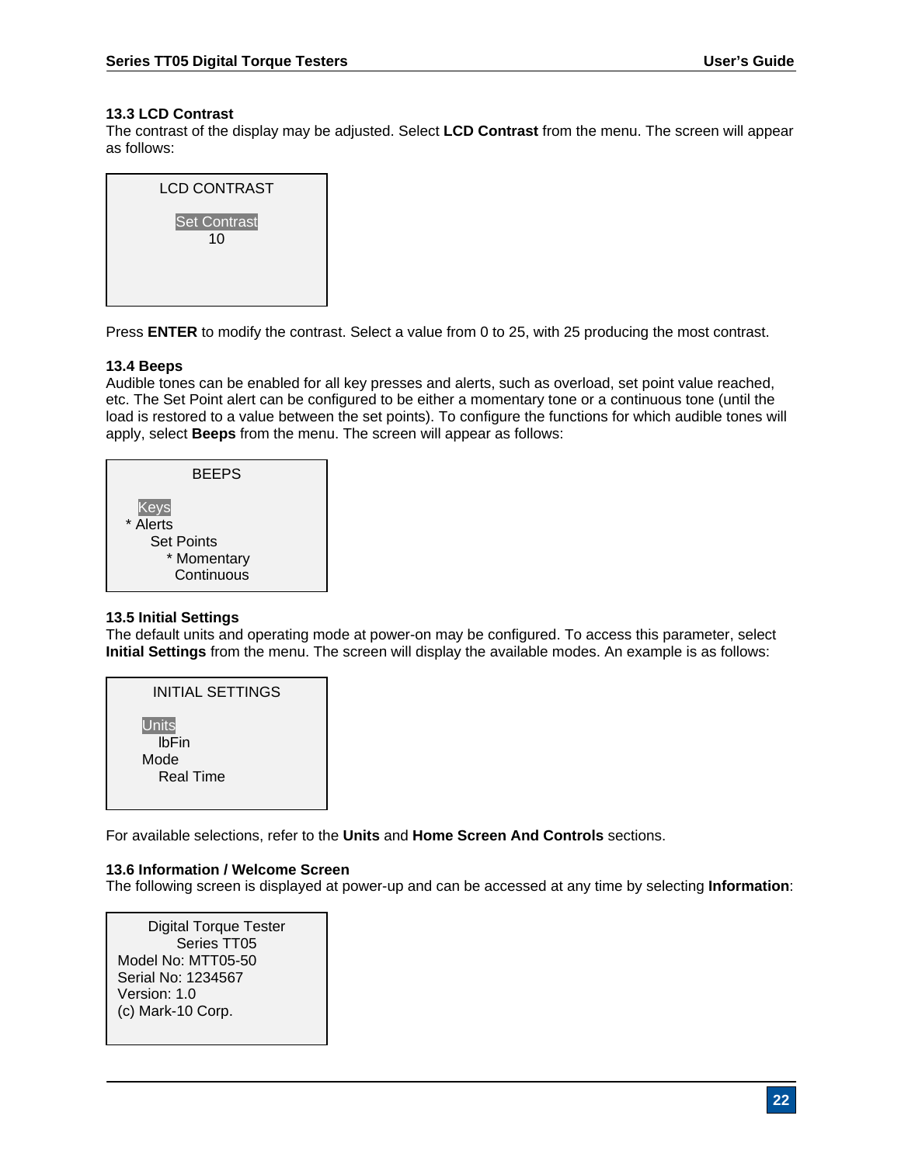#### **13.3 LCD Contrast**

The contrast of the display may be adjusted. Select **LCD Contrast** from the menu. The screen will appear as follows:

| <b>LCD CONTRAST</b>       |  |
|---------------------------|--|
| <b>Set Contrast</b><br>10 |  |

Press **ENTER** to modify the contrast. Select a value from 0 to 25, with 25 producing the most contrast.

#### **13.4 Beeps**

Audible tones can be enabled for all key presses and alerts, such as overload, set point value reached, etc. The Set Point alert can be configured to be either a momentary tone or a continuous tone (until the load is restored to a value between the set points). To configure the functions for which audible tones will apply, select **Beeps** from the menu. The screen will appear as follows:



## **13.5 Initial Settings**

The default units and operating mode at power-on may be configured. To access this parameter, select **Initial Settings** from the menu. The screen will display the available modes. An example is as follows:



For available selections, refer to the **Units** and **Home Screen And Controls** sections.

#### **13.6 Information / Welcome Screen**

The following screen is displayed at power-up and can be accessed at any time by selecting **Information**:

Digital Torque Tester Series TT05 Model No: MTT05-50 Serial No: 1234567 Version: 1.0 (c) Mark-10 Corp.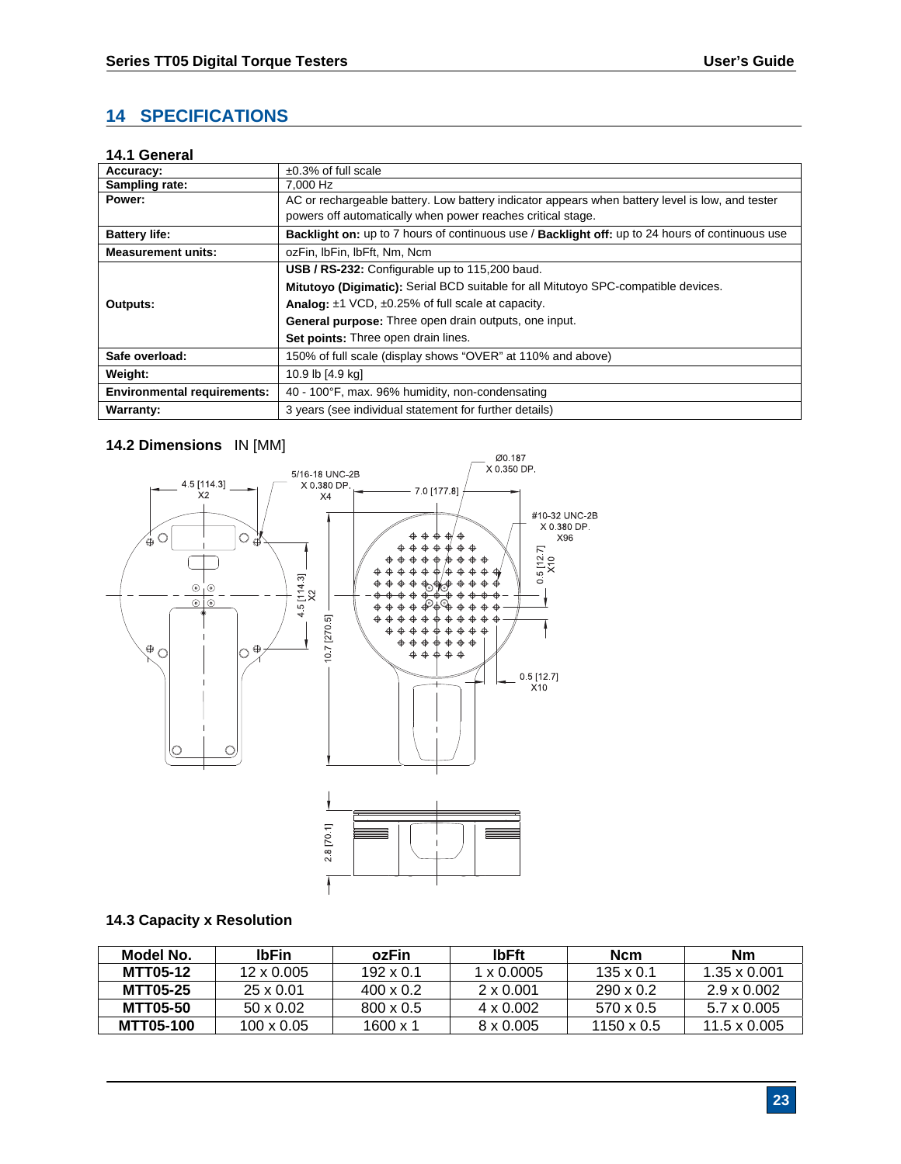# **14 SPECIFICATIONS**

# **14.1 General**

| Accuracy:                          | $\pm 0.3\%$ of full scale                                                                              |  |  |
|------------------------------------|--------------------------------------------------------------------------------------------------------|--|--|
| Sampling rate:                     | 7.000 Hz                                                                                               |  |  |
| Power:                             | AC or rechargeable battery. Low battery indicator appears when battery level is low, and tester        |  |  |
|                                    | powers off automatically when power reaches critical stage.                                            |  |  |
| <b>Battery life:</b>               | <b>Backlight on:</b> up to 7 hours of continuous use / Backlight off: up to 24 hours of continuous use |  |  |
| <b>Measurement units:</b>          | ozFin, IbFin, IbFft, Nm, Ncm                                                                           |  |  |
|                                    | USB / RS-232: Configurable up to 115,200 baud.                                                         |  |  |
|                                    | Mitutoyo (Digimatic): Serial BCD suitable for all Mitutoyo SPC-compatible devices.                     |  |  |
| Outputs:                           | <b>Analog:</b> $\pm$ 1 VCD, $\pm$ 0.25% of full scale at capacity.                                     |  |  |
|                                    | <b>General purpose:</b> Three open drain outputs, one input.                                           |  |  |
|                                    | Set points: Three open drain lines.                                                                    |  |  |
| Safe overload:                     | 150% of full scale (display shows "OVER" at 110% and above)                                            |  |  |
| Weight:                            | 10.9 lb [4.9 kg]                                                                                       |  |  |
| <b>Environmental requirements:</b> | 40 - 100°F, max. 96% humidity, non-condensating                                                        |  |  |
| <b>Warranty:</b>                   | 3 years (see individual statement for further details)                                                 |  |  |

# **14.2 Dimensions** IN [MM]



#### **14.3 Capacity x Resolution**

| Model No.        | <b>IbFin</b>      | ozFin            | <b>IbFft</b>      | <b>Ncm</b>        | Nm                  |
|------------------|-------------------|------------------|-------------------|-------------------|---------------------|
| <b>MTT05-12</b>  | $12 \times 0.005$ | $192 \times 0.1$ | $1 \times 0.0005$ | $135 \times 0.1$  | $1.35 \times 0.001$ |
| <b>MTT05-25</b>  | $25 \times 0.01$  | $400 \times 0.2$ | $2 \times 0.001$  | $290 \times 0.2$  | $2.9 \times 0.002$  |
| <b>MTT05-50</b>  | $50 \times 0.02$  | $800 \times 0.5$ | $4 \times 0.002$  | $570 \times 0.5$  | 5.7 x 0.005         |
| <b>MTT05-100</b> | $100 \times 0.05$ | 1600 x 1         | $8 \times 0.005$  | $1150 \times 0.5$ | $11.5 \times 0.005$ |